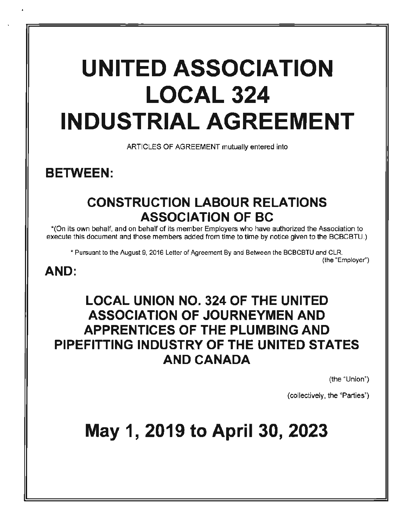# **UNITED ASSOCIATION LOCAL 324 INDUSTRIAL AGREEMENT**

ARTICLES OF AGREEMENT mutually entered into

**BETWEEN:** 

# **CONSTRUCTION LABOUR RELATIONS ASSOCIATION OF BC**

"'(On its own behalf, and on behalf of its member Employers who have authorized the Association to execute this document and those members added from time to time by notice given to the BCBCBTU.)

\* Pursuant to the August 9, 2016 Letter of Agreement By and Between the BCBCBTU and CLR. (the "Employer')

# **AND:**

# **LOCAL UNION NO. 324 OF THE UNITED ASSOCIATION OF JOURNEYMEN AND APPRENTICES OF THE PLUMBING AND PIPEFITTING INDUSTRY OF THE UNITED STATES AND CANADA**

(the "Union")

(collectively, the "Parties")

# **May 1, 2019 to April 30, 2023**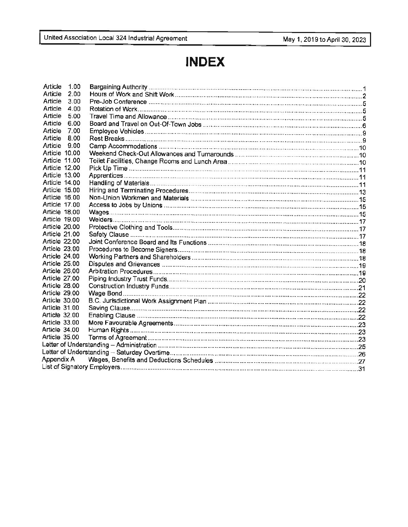# **INDEX**

| Article              | 1.00 |  |
|----------------------|------|--|
| Article              | 2.00 |  |
| Article              | 3.00 |  |
| Article              | 4.00 |  |
| Article              | 5.00 |  |
| Article              | 6.00 |  |
| Article              | 7.00 |  |
| Article              | 8.00 |  |
| Article              | 9.00 |  |
| Article 10.00        |      |  |
| Article 11.00        |      |  |
| <b>Article 12.00</b> |      |  |
| Article 13.00        |      |  |
| Article 14.00        |      |  |
| Article 15.00        |      |  |
| <b>Article 16.00</b> |      |  |
| Article 17.00        |      |  |
| Article 18.00        |      |  |
| Article 19.00        |      |  |
| Article 20.00        |      |  |
| Article 21.00        |      |  |
| Article 22.00        |      |  |
| Article 23.00        |      |  |
| Article 24.00        |      |  |
| Article 25.00        |      |  |
| Article 26.00        |      |  |
| Article 27.00        |      |  |
| <b>Article 28.00</b> |      |  |
| Article 29.00        |      |  |
| Article 30.00        |      |  |
| Article 31.00        |      |  |
| Article 32.00        |      |  |
| Article 33.00        |      |  |
| Article 34,00        |      |  |
| Article 35.00        |      |  |
|                      |      |  |
|                      |      |  |
| Appendix A           |      |  |
|                      |      |  |
|                      |      |  |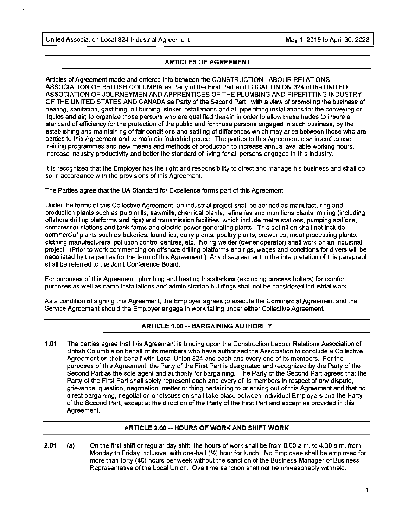# **ARTICLES** OF **AGREEMENT**

Articles of Agreement made and entered into between the CONSTRUCTION LABOUR RELATIONS ASSOCIATION OF BRITISH COLUMBIA as Party of the First Part and LOCAL UNION 324 of the UNITED ASSOCIATION OF JOURNEYMEN AND APPRENTICES OF THE PLUMBING AND PIPEFITTING INDUSTRY OF THE UNITED STATES AND CANADA as Party of the Second Part: with a view of promoting the business of heating, sanitation, gasfitting, oil burning, stoker installations and all pipe fitting installations for the conveying of liquids and air; to organize those persons who are qualified therein in order to allow these trades to insure a standard of efficiency for the protection of the public and for those persons engaged in such business, by the establishing and maintaining of fair conditions and settling of differences which may arise between those who are parties to this Agreement and to maintain industrial peace. The parties to this Agreement also intend to use training programmes and new means and methods of production to increase annual available working hours, increase industry productivity and better the standard of living for all persons engaged in this industry.

It is recognized that the Employer has the right and responsibility to direct and manage his business and shall do so in accordance with the provisions of this Agreement.

The Parties agree that the UA Standard for Excellence forms part of this Agreement

Under the terms of this Collective Agreement, an industrial project shall be defined as manufacturing and production plants such as pulp mills, sawmills, chemical plants, refineries and munitions plants, mining (including offshore drilling platforms and rigs) and transmission facilities, which include metre stations, pumping stations, compressor stations and tank farms and electric power generating plants. This definition shall not include commercial plants such as bakeries, laundries, dairy plants, poultry plants, breweries, meat processing plants, clothing manufacturers. pollution control centres, etc. No rig welder (owner operator) shall work on an industrial project. (Prior to work commencing on offshore drilling platforms and rigs, wages and conditions for divers will be negotiated by the parties for the term of this Agreement.) Any disagreement in the interpretation of this paragraph shall be referred to the Joint Conference Board.

For purposes of this Agreement, plumbing and heating installations {excluding process boilers) for comfort purposes as well as camp installations and administration buildings shall not be considered industrial work.

As a condition of signing this Agreement, the Employer agrees to execute the Commercial Agreement and the Service Agreement should the Employer engage in work falling under either Collective Agreement

# **ARTICLE 1.00** -- **BARGAINING AUTHORITY**

**1.01** The parties agree that this Agreement is binding upon the Construction Labour Relations Association of British Columbia on behalf of its members who have authorized the Association to conclude a Collective Agreement on their behalf with Local Union 324 and each and every one of its members. For the purposes of this Agreement, the Party of the First Part is designated and recognized by the Party of the Second Part as the sole agent and authority for bargaining. The Party of the Second Part agrees that the Party of the First Part shall solely represent each and every of its members in respect of any dispute, grievance, question, negotiation, matter or thing pertaining to or arising out of this Agreement and that no direct bargaining, negotiation or discussion shall take place between individual Employers and the Party of the Second Part, except at the direction of the Party of the First Part and except as provided in this Agreement.

# **ARTICLE 2.00** -- **HOURS OF WORK AND SHIFT WORK**

**2.01 (a)**  On the first shift or regular day shift, the hours of work shall be from 8:00 a.m. to 4:30 p.m. from Monday to Friday inclusive, with one-half (½) hour for lunch. No Employee shall be employed for more than forty (40) hours per week without the sanction of the Business Manager or Business Representative of the Local Union. Overtime sanction shall not be unreasonably withheld.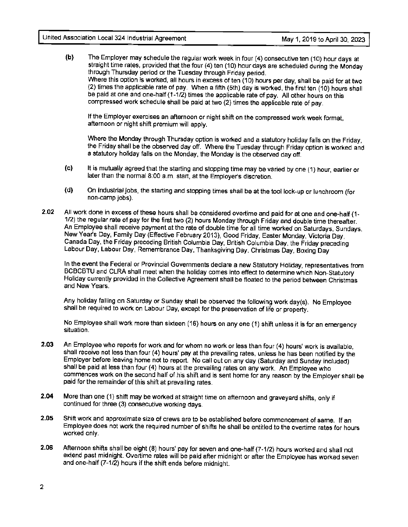**(b)** The Employer may schedule the regular work week in four (4) consecutive ten (10) hour days at straight time rates, provided that the four (4) ten (10) hour days are scheduled during the Monday through Thursday period or the Tuesday through Friday period. Where this option is worked, all hours in excess of ten (10) hours per day, shall be paid for at two (2) times the applicable rate of pay. When a fifth (5th) day is worked, the first ten (10) hours shall be paid at one and one-half (1-1/2) times the applicable rate of pay. All other hours on this compressed work schedule shall be paid at two {2) times the applicable rate of pay.

If the Employer exercises an afternoon or night shift on the compressed work week format, afternoon or night shift premium will apply.

Where the Monday through Thursday option is worked and a statutory holiday falls on the Friday, the Friday shall be the observed day off. Where the Tuesday through Friday option is worked and a statutory holiday falls on the Monday, the Monday is the observed day off.

- (c) It is mutually agreed that the starting and stopping time may be varied by one (1) hour, earlier or later than the normal 8:00 a.m. start, at the Employer's discretion.
- **(d)** On Industrial jobs, the starting and stopping times shall be at the tool lock-up or lunch room (for non-camp jobs).
- **2.02** All work done in excess of these hours shall be considered overtime and paid for at one and one-half { 1- 1/2) the regular rate of pay for the first two (2) hours Monday through Friday and double time thereafter. An Employee shall receive payment at the rate of double time for all time worked on Saturdays, Sundays, New Year's Day, Family Day {Effective February 2013), Good Friday, Easter Monday, Victoria Day, Canada Day, the Friday preceding British Columbia Day, British Columbia Day, the Friday preceding Labour Day, Labour Day, Remembrance Day, Thanksgiving Day, Christmas Day, Boxing Day

In the event the Federal or Provincial Governments declare a new Statutory Holiday, representatives from BCBCBTU and CLRA shall meet when the holiday comes into effect to determine which Non-Statutory Holiday currently provided in the Collective Agreement shall be floated to the period between Christmas and New Years.

Any holiday falling on Saturday or Sunday shall be observed the following work day(s). No Employee shall be required to work on labour Day, except for the preservation of life or property.

No Employee shall work more than sixteen (16) hours on any one (1) shift unless it is for an emergency situation.

- **2.03** An Employee who reports for work and for whom no work or less than four (4) hours' work is available, shall receive not less than four (4) hours' pay at the prevailing rates, unless he has been notified by the Employer before leaving home not to report. No call out on any day (Saturday and Sunday included) shall be paid at less than four (4) hours at the prevailing rates on any work. An Employee who commences work on the second half of his shift and is sent home for any reason by the Employer shall be paid for the remainder of this shift at prevailing rates.
- **2.04** More than one (1) shift may be worked at straight time on afternoon and graveyard shifts, only if continued for three (3) consecutive working days.
- **2.05** Shift work and approximate size of crews are to be established before commencement of same. If an Employee does not work the required number of shifts he shall be entitled to the overtime rates for hours worked only.
- **2.06** Afternoon shifts shall be eight (8) hours' pay for seven and one-half (7-1/2) hours worked and shall not extend past midnight. Overtime rates will be paid after midnight or after the Employee has worked seven and one-half (7-1/2) hours if the shift ends before midnight.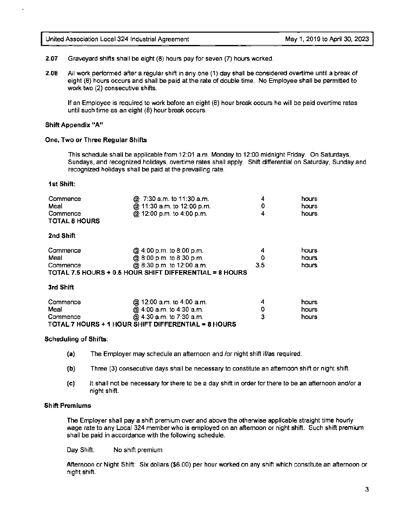**2.07** Graveyard shifts shall be eight (8) hours pay for seven (7) hours worked.

**2.08** All work performed after a regular shift in any one (1) day shall be considered overtime until a break of eight (8) hours occurs and shall be paid at the rate of double time. No Employee shall be permitted to work two (2) consecutive shifts.

If an Employee is required to work before an eight (8) hour break occurs he will be paid overtime rates until such time as an eight (8) hour break occurs.

#### **Shift Appendix "A"**

#### **One, Two or Three Regular Shifts**

This schedule shall be applicable from 12:01 a.m. Monday to 12:00 midnight Friday. On Saturdays, Sundays, and recognized holidays, overtime rates shall apply. Shift differential on Saturday, Sunday and recognized holidays shall be paid at the prevailing rate.

#### **1st Shift:**

| Commence<br>Meal<br>Commence<br><b>TOTAL 8 HOURS</b> | @ 7:30 a.m. to 11:30 a.m.<br>@ 11:30 a.m. to 12:00 p.m.<br>@ 12:00 p.m. to 4:00 p.m. | 4<br>0<br>4 | hours<br>hours<br>hours |
|------------------------------------------------------|--------------------------------------------------------------------------------------|-------------|-------------------------|
| 2nd Shift                                            |                                                                                      |             |                         |
| Commence                                             | @ 4:00 p.m. to 8:00 p.m.                                                             | 4           | hours                   |
| Meal                                                 | @ 8:00 p.m. to 8:30 p.m.                                                             |             | hours                   |
| Commence                                             | @ 8:30 p.m. to 12:00 a.m.                                                            | 3.5         | hours                   |
|                                                      | TOTAL 7.5 HOURS + 0.5 HOUR SHIFT DIFFERENTIAL = 8 HOURS                              |             |                         |
| 3rd Shift                                            |                                                                                      |             |                         |
| Commence                                             | @ 12:00 a.m. to 4:00 a.m.                                                            | 4           | hours                   |
| Meal                                                 | @ 4:00 a.m. to 4:30 a.m.                                                             | 0           | hours                   |
| Commence                                             | @ 4:30 a.m. to 7:30 a.m.                                                             | 3           | hours                   |
|                                                      | TOTAL 7 HOURS + 1 HOUR SHIFT DIFFERENTIAL = 8 HOURS                                  |             |                         |

#### **Scheduling of Shifts:**

- **(a)** The Employer may schedule an afternoon and /or night shift if/as required.
- **(b)** Three (3) consecutive days shall be necessary to constitute an afternoon shift or night shift.
- **(c)** It shall not be necessary for there to be a day shift in order for there to be an afternoon andfor a night shift.

#### **Shift Premiums**

The Employer shall pay a shift premium over and above the otherwise applicable straight time hourly wage rate to any Local 324 member who is employed on an afternoon or night shift. Such shift premium shall be paid in accordance with the following schedule.

Day Shift: No shift premium

Afternoon or Night Shift: Six dollars (\$6.00) per hour worked on any shift which constitute an afternoon or night shift.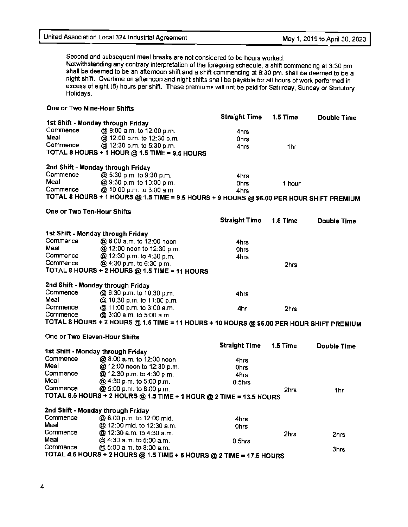Second and subsequent meal breaks are not considered to be hours worked. Notwithstanding any contrary interpretation of the foregoing schedule, a shift commencing at 3:30 pm shall be deemed to be an afternoon shift and a shift commencing at 8:30 pm. shall be deemed to be a night shift. Overtime on afternoon and night shifts shall be payable for all hours of work performed in excess of eight (8) hours per shift. These premiums will not be paid for Saturday, Sunday or Statutory Holidays.

| One or Two Nine-Hour Shifts       |                                                                                          |                      |          |                    |
|-----------------------------------|------------------------------------------------------------------------------------------|----------------------|----------|--------------------|
|                                   |                                                                                          | <b>Straight Time</b> | 1.5 Time | <b>Double Time</b> |
|                                   | 1st Shift - Monday through Friday                                                        |                      |          |                    |
| Commence                          | @ 8:00 a.m. to 12:00 p.m.                                                                | 4hrs                 |          |                    |
| Meal                              | @ 12:00 p.m. to 12:30 p.m.                                                               | 0hrs                 |          |                    |
| Commence                          | @ 12:30 p.m. to 5:30 p.m.                                                                | 4hrs                 | 1hr      |                    |
|                                   | TOTAL 8 HOURS + 1 HOUR @ 1.5 TIME = 9.5 HOURS                                            |                      |          |                    |
|                                   |                                                                                          |                      |          |                    |
|                                   | 2nd Shift - Monday through Friday                                                        |                      |          |                    |
| Commence                          | @ 5:30 p.m. to 9:30 p.m.                                                                 | 4hrs                 |          |                    |
| Meal                              | @ 9:30 p.m. to 10:00 p.m.                                                                | <b>Ohrs</b>          | 1 hour   |                    |
| Commence                          | @ 10:00 p.m. to 3:00 a.m.                                                                | 4hrs                 |          |                    |
|                                   | TOTAL 8 HOURS + 1 HOURS @ 1.5 TIME = 9.5 HOURS + 9 HOURS @ \$6.00 PER HOUR SHIFT PREMIUM |                      |          |                    |
|                                   |                                                                                          |                      |          |                    |
| One or Two Ten-Hour Shifts        |                                                                                          |                      |          |                    |
|                                   |                                                                                          | <b>Straight Time</b> | 1.5 Time | <b>Double Time</b> |
|                                   |                                                                                          |                      |          |                    |
| 1st Shift - Monday through Friday |                                                                                          |                      |          |                    |
| Commence                          | @ 8:00 a.m. to 12:00 noon                                                                | 4hrs                 |          |                    |
| Meal                              | @ 12:00 noon to 12:30 p.m.                                                               | Ohrs                 |          |                    |
| Commence                          | @ 12:30 p.m. to 4:30 p.m.                                                                | 4hrs                 |          |                    |
| Commence                          | @ 4:30 p.m. to 6:30 p.m.                                                                 |                      | 2hrs     |                    |
|                                   | TOTAL 8 HOURS + 2 HOURS @ 1.5 TIME = 11 HOURS                                            |                      |          |                    |
|                                   |                                                                                          |                      |          |                    |
|                                   | 2nd Shift - Monday through Friday                                                        |                      |          |                    |
| Commence                          | @ 6:30 p.m. to 10:30 p.m.                                                                | 4hrs                 |          |                    |
| Meal                              | @ 10:30 p.m. to 11:00 p.m.                                                               |                      |          |                    |
| Commence                          | @ 11:00 p.m. to 3:00 a.m.                                                                | 4hr                  | 2hrs     |                    |
| Commence                          | @ 3:00 a.m. to 5:00 a.m.                                                                 |                      |          |                    |
|                                   | TOTAL 8 HOURS + 2 HOURS @ 1.5 TIME = 11 HOURS + 10 HOURS @ \$6.00 PER HOUR SHIFT PREMIUM |                      |          |                    |
|                                   |                                                                                          |                      |          |                    |
| One or Two Eleven-Hour Shifts     |                                                                                          |                      |          |                    |
|                                   |                                                                                          | <b>Straight Time</b> | 1.5 Time | <b>Double Time</b> |
| 1st Shift - Monday through Friday |                                                                                          |                      |          |                    |
| Commence                          | @ 8:00 a.m. to 12:00 noon                                                                | 4hrs                 |          |                    |
| Meal                              | @ 12:00 noon to 12:30 p.m.                                                               | <b>Ohrs</b>          |          |                    |
| Commence                          | @ 12:30 p.m. to 4:30 p.m.                                                                | 4hrs                 |          |                    |
| Meal                              | @ 4:30 p.m. to 5:00 p.m.                                                                 | $0.5$ hrs            |          |                    |
| Commence                          | @ 5:00 p.m. to 8:00 p.m.                                                                 |                      | 2hrs     | 1hr                |
|                                   | TOTAL 8.5 HOURS + 2 HOURS @ 1.5 TIME + 1 HOUR @ 2 TIME = 13.5 HOURS                      |                      |          |                    |
|                                   |                                                                                          |                      |          |                    |
| 2nd Shift - Monday through Friday |                                                                                          |                      |          |                    |
| Commence                          | @ 8:00 p.m. to 12:00 mid.                                                                | 4hrs                 |          |                    |
| Meal                              | @ 12:00 mid. to 12:30 a.m.                                                               | Ohrs                 |          |                    |
| Commence                          | @ 12:30 a.m. to 4:30 a.m.                                                                |                      | 2hrs     | 2hrs               |
| Meal                              | @ 4:30 a.m. to 5:00 a.m.                                                                 | 0.5hrs               |          |                    |
| Commence                          | @ 5:00 a.m. to 8:00 a.m.                                                                 |                      |          | 3hrs               |
|                                   | TOTAL 4.5 HOURS + 2 HOURS @ 1.5 TIME + 5 HOURS @ 2 TIME = 17.5 HOURS                     |                      |          |                    |
|                                   |                                                                                          |                      |          |                    |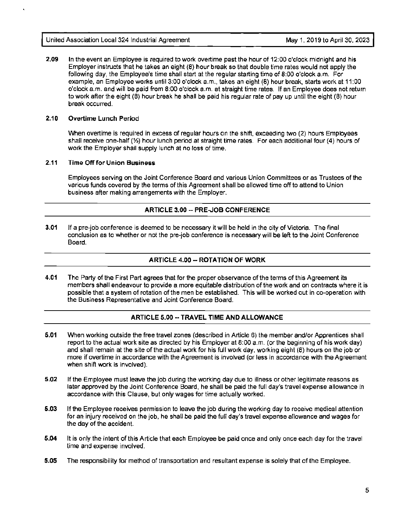**2.09** In the event an Employee is required to work overtime past the hour of 12:00 o'clock midnight and his Employer instructs that he takes an eight (8) hour break so that double time rates would not apply the following day, the Employee's time shall start at the regular starting time of 8:00 o'clock a.m. For example, an Employee works until 3:00 o'clock a.m., takes an eight (8) hour break, starts work at 11 :00 o'clock a.m. and will be paid from 8:00 o'clock a.m. at straight time rates. If an Employee does not return to work after the eight (8) hour break he shall be paid his regular rate of pay up until the eight (8) hour break occurred.

# **2.10 Overtime Lunch Period**

When overtime is required in excess of regular hours on the shift, exceeding two (2) hours Employees shall receive one-half(½) hour lunch period at straight time rates. For each additional four (4) hours of work the Employer shall supply lunch at no loss of time.

# **2.11 Time Off for Union Business**

Employees serving on the Joint Conference Board and various Union Committees or as Trustees of the various funds covered by the terms of this Agreement shall be allowed time off to attend to Union business after making arrangements with the Employer.

# **ARTICLE 3.00 -- PRE.JOB CONFERENCE**

**3.01** If a pre-job conference is deemed to be necessary it will be held in the city of Victoria. The final conclusion as to whether or not the pre-job conference is necessary will be left to the Joint Conference Board.

# **ARTICLE 4.00-- ROTATION OF WORK**

**4.01** The Party of the First Part agrees that for the proper observance of the terms of this Agreement its members shall endeavour to provide a more equitable distribution of the work and on contracts where it is possible that a system of rotation of the men be established. This will be worked out in co-operation with the Business Representative and Joint Conference Board.

# **ARTICLE 5.00 --TRAVEL TIME AND ALLOWANCE**

- **5.01** When working outside the free travel zones (described in Article 6) the member and/or Apprentices shall report to the actual work site as directed by his Employer at 8:00 a.m. (or the beginning of his work day) and shall remain at the site of the actual work for his full work day, working eight (8) hours on the job or more if overtime in accordance with the Agreement is involved (or less in accordance with the Agreement when shift work is involved).
- **5.02** If the Employee must leave the job during the working day due to illness or other legitimate reasons as later approved by the Joint Conference Board, he shall be paid the full day's travel expense allowance in accordance with this Clause, but only wages for time actually worked.
- **5.03** If the Employee receives permission to leave the job during the working day to receive medical attention for an injury received on the job, he shall be paid the full day's travel expense allowance and wages for the day of the accident.
- **5.04** It is only the intent of this Article that each Employee be paid once and only once each day for the travel time and expense involved.
- **5.05** The responsibility for method of transportation and resultant expense is solely that of the Employee.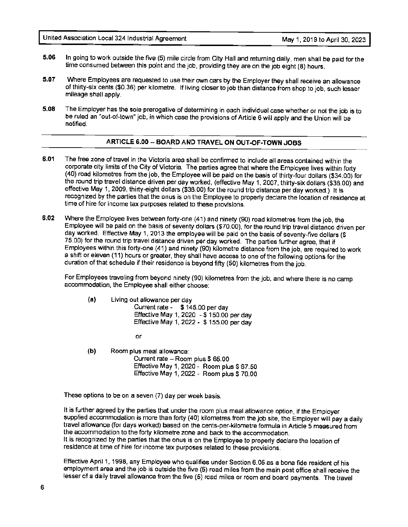- **5.06** In going to work outside the five (5) mile circle from City Hall and returning daily, men shall be paid for the time consumed between this point and the job, providing they are on the job eight (8) hours.
- **5.07** Where Employees are requested to use their own cars by the Employer they shall receive an allowance of thirty-six cents (\$0.36) per kilometre. If living closer to job than distance from shop to job, such lesser mileage shall apply.
- **5.08** The Employer has the sole prerogative of determining in each individual case whether or not the job is to be ruled an "out-of-town" job, in which case the provisions of Article 6 will apply and the Union will be notified.

# **ARTICLE 6.00-- BOARD AND TRAVEL ON OUT-OF-TOWN JOBS**

- **6.01** The free zone of travel in the Victoria area shall be confirmed to include all areas contained within the corporate city limits of the City of Victoria. The parties agree that where the Employee lives within forty (40) road kilometres from the job, the Employee will be paid on the basis of thirty-four dollars (\$34.00) for the round trip travel distance driven per day worked, (effective May 1, 2007, thirty-six dollars (\$36.00) and effective May 1, 2009, thirty-eight dollars (\$38.00) for the round trip distance per day worked.) It is recognized by the parties that the onus is on the Employee to properly declare the location of residence at time of hire for income tax purposes related to these provisions.
- **6.02** Where the Employee lives between forty-one (41) and ninety (90) road kilometres from the job, the Employee will be paid on the basis of seventy dollars (\$70.00), for the round trip travel distance driven per day worked. Effective May 1, 2013 the employee will be paid on the basis of seventy-five dollars (\$ 75.00) for the round trip travel distance driven per day worked. The parties further agree, that if Employees within this forty-one (41) and ninety (90) kilometre distance from the job, are required to work a shift or eleven (11) hours or greater, they shall have access to one of the following options for the duration of that schedule if their residence is beyond fifty (50) kilometres from the job.

For Employees traveling from beyond ninety (90) kilometres from the job, and where there is no camp accommodation, the Employee shall either choose:

- **(a)** Living out allowance per day Current rate - \$ 145.00 per day Effective May 1, 2020 - \$ 150.00 per day Effective May 1, 2022 - \$ 155.00 per day
	- or
- **(b)** Room plus meal allowance: Current rate - Room plus \$ 65.00 Effective May 1, 2020 - Room plus  $$67.50$ Effective May 1, 2022 - Room plus \$ 70.00

These options to be on a seven (7} day per week basis.

It is further agreed by the parties that under the room plus meal allowance option, if the Employer supplied accommodation is more than forty (40) kilometres from the job site, the Employer will pay a daily travel allowance (for days worked) based on the cents-per-kilometre formula in Article 5 measured from the accommodation to the forty kilometre zone and back to the accommodation. It is recognized by the parties that the onus is on the Employee to properly declare the location of residence at time of hire for income tax purposes related to these provisions.

Effective April 1, 1998, any Employee who qualifies under Section 6.05 as a bona fide resident of his employment area and the job is outside the five (5) road miles from the main post office shall receive the lesser of a daily travel allowance from the five (5} road miles or room and board payments. The travel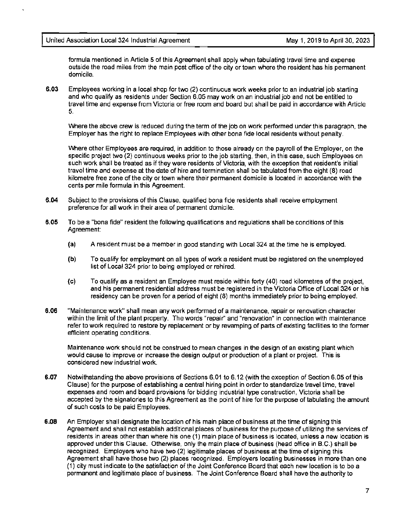formula mentioned in Article 5 of this Agreement shall apply when tabulating travel time and expense outside the road miles from the main post office of the city or town where the resident has his permanent domicile.

**6.03** Employees working in a local shop for two {2) continuous work weeks prior to an industrial job starting and who qualify as residents under Section 6.05 may work on an industrial job and not be entitled to travel time and expense from Victoria or free room and board but shall be paid in accordance with Article 5.

Where the above crew is reduced during the term of the job on work performed under this paragraph, the Employer has the right to replace Employees with other bona fide local residents without penalty.

Where other Employees are required, in addition to those already on the payroll of the Employer, on the specific project two (2) continuous weeks prior to the job starting, then, in this case, such Employees on such work shall be treated as if they were residents of Victoria, with the exception that resident's initial travel time and expense at the date of hire and termination shall be tabulated from the eight (8) road kilometre free zone of the city or town where their permanent domicile is located in accordance with the cents per mile formula in this Agreement.

- **6.04** Subject to the provisions of this Clause, qualified bona fide residents shall receive employment preference for all work in their area of permanent domicile.
- **6.05** To be a "bona fide" resident the following qualifications and regulations shall be conditions of this Agreement:
	- **(a)** A resident must be a member in good standing with Local 324 at the time he is employed.
	- **(b)** To qualify for employment on all types of work a resident must be registered on the unemployed list of Local 324 prior to being employed or rehired.
	- (c) To qualify as a resident an Employee must reside within forty (40) road kilometres of the project, and his permanent residential address must be registered in the Victoria Office of Local 324 or his residency can be proven for a period of eight (8) months immediately prior to being employed.
- **6.06** "Maintenance work" shall mean any work performed of a maintenance, repair or renovation character within the limit of the plant property. The words "repair" and "renovation" in connection with maintenance refer to work required to restore by replacement or by revamping of parts of existing facilities to the former efficient operating conditions.

Maintenance work should not be construed to mean changes in the design of an existing plant which would cause to improve or increase the design output or production of a plant or project. This is considered new industrial work.

- **6.07** Notwithstanding the above provisions of Sections 6.01 to 6.12 {with the exception of Section 6.05 of this Clause) for the purpose of establishing a central hiring point in order to standardize travel time, travel expenses and room and board provisions for bidding industrial type construction, Victoria shall be accepted by the signatories to this Agreement as the point of hire for the purpose of tabulating the amount of such costs to be paid Employees.
- **6.08** An Employer shall designate the location of his main place of business at the time of signing this Agreement and shall not establish additional places of business for the purpose of utilizing the services of residents in areas other than where his one (1) main place of business is located, unless a new location is approved under this Clause. Otherwise, only the main place of business (head office in B.C.} shall be recognized. Employers who have two (2) legitimate places of business at the time of signing this Agreement shall have those two (2) places recognized. Employers locating businesses in more than one (1) city must indicate to the satisfaction of the Joint Conference Board that each new location is to be a permanent and legitimate place of business. The Joint Conference Board shall have the authority to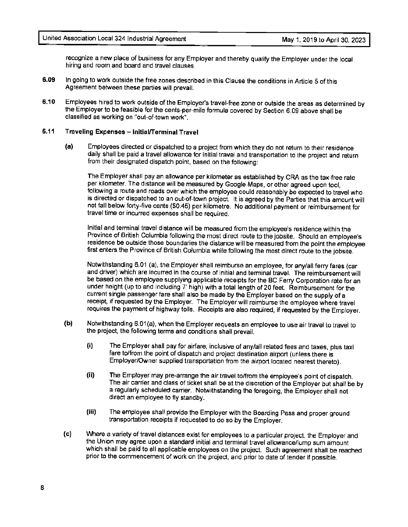recognize a new place of business for any Employer and thereby qualify the Employer under the local hiring and room and board and travel clauses.

- **6.09** In going to work outside the free zones ·described in this Clause the conditions in Article 5 of this Agreement between these parties will prevail.
- **6.10** Employees hired to work outside of the Employer's travel-free zone or outside the areas as determined by the Employer to be feasible for the cents-per-mile formula covered by Section 6.09 above shall be classified as working on "out-of-town work".

# **6.11 Traveling Expenses** - **Initial/Terminal Travel**

**(a)** Employees directed or dispatched to a project from which they do not return to their residence daily shall be paid a travel allowance for initial travel and transportation to the project and return from their designated dispatch point, based on the following:

The Employer shall pay an allowance per kilometer as established by CRA as the tax-free rate per kilometer. The distance will be measured by Google Maps, or other agreed upon tool, following a route and roads over which the employee could reasonably be expected to travel who is directed or dispatched to an out-of-town project. It is agreed by the Parties that this amount will not fall below forty-five cents (\$0.45) per kilometre. No additional payment or reimbursement for travel time or incurred expenses shall be required.

Initial and terminal travel distance will be measured from the employee's residence within the Province of British Columbia following the most direct route to the jobsite. Should an employee's residence be outside those boundaries the distance will be measured from the point the employee first enters the Province of British Columbia while following the most direct route to the jobsite.

Notwithstanding 6.01 (a), the Employer shall reimburse an employee, for any/all ferry fares (car and driver) which are incurred in the course of initial and terminal travel. The reimbursement will be based on the employee supplying applicable receipts for the BC Ferry Corporation rate for an under height (up to and including 7' high) with a total length of 20 feet. Reimbursement for the current single passenger fare shall also be made by the Employer based on the supply of a receipt, if requested by the Employer. The Employer will reimburse the employee where travel requires the payment of highway tolls. Receipts are also required, if requested by the Employer.

- **(b)** Notwithstanding 6.01 (a), when the Employer requests an employee to use air travel to travel to the project, the following terms and conditions shall prevail.
	- (i) The Employer shall pay for airfare, inclusive of any/all related fees and taxes, plus taxi fare to/from the point of dispatch and project destination airport (unless there is Employer/Owner supplied transportation from the airport located nearest thereto).
	- (ii) The Employer may pre-arrange the air travel to/from the employee's point of dispatch. The air carrier and class of ticket shall be at the discretion of the Employer but shall be by a regularly scheduled carrier. Notwithstanding the foregoing, the Employer shall not direct an employee to fly standby.
	- (iii) The employee shall provide the Employer with the Boarding Pass and proper ground transportation receipts if requested to do so by the Employer.
- (c) Where a variety of travel distances exist for employees to a particular project, the Employer and the Union may agree upon a standard initial and terminal travel allowance/lump sum amount which shall be paid to all applicable employees on the project. Such agreement shall be reached prior to the commencement of work on the project, and prior to date of tender if possible.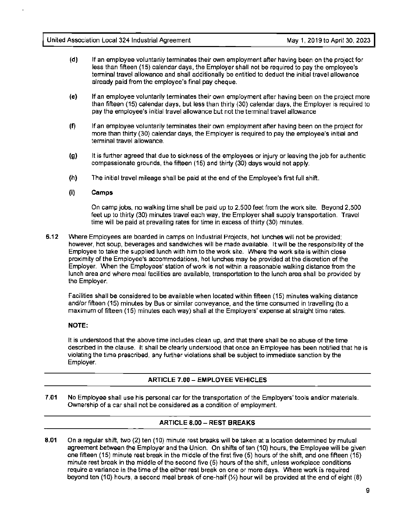- **(d)** If an employee voluntarily terminates their own employment after having been on the project for less than fifteen (15) calendar days, the Employer shall not be required to pay the employee's terminal travel allowance and shall additionally be entitled to deduct the initial travel allowance already paid from the employee's final pay cheque.
- (e) If an employee voluntarily terminates their own employment after having been on the project more than fifteen (15) calendar days, but less than thirty {30) calendar days, the Employer is required to pay the employee's initial travel allowance but not the terminal travel allowance
- (f) If an employee voluntarily terminates their own employment after having been on the project for more than thirty (30) calendar days, the Employer is required to pay the employee's initial and terminal travel allowance.
- **(g)** It is further agreed that due to sickness of the employees or injury or leaving the job for authentic compassionate grounds, the fifteen (15) and thirty {30) days would not apply.
- **(h)** The initial travel mileage shall be paid at the end of the Employee's first full shift.

# **(i) Camps**

On camp jobs, no walking time shall be paid up to 2,500 feet from the work site. Beyond 2,500 feet up to thirty {30) minutes travel each way, the Employer shall supply transportation. Travel time will be paid at prevailing rates for time in excess of thirty (30) minutes.

**6.12** Where Employees are boarded in camps on Industrial Projects, hot lunches will not be provided: however, hot soup, beverages and sandwiches will be made available. It will be the responsibility of the Employee to take the supplied lunch with him to the work site. Where the work site is within close proximity of the Employee's accommodations, hot lunches may be provided at the discretion of the Employer. When the Employees' station of work is not within a reasonable walking distance from the lunch area and where meal facilities are available, transportation to the lunch area shall be provided by the Employer.

Facilities shall be considered to be available when located within fifteen (15) minutes walking distance and/or fifteen (15) minutes by Bus or similar conveyance, and the time consumed in travelling (to a maximum of fifteen (15) minutes each way) shall at the Employers' expense at straight time rates.

# **NOTE:**

It is understood that the above time includes clean up, and that there shall be no abuse of the time described in the clause. It shall be clearly understood that once an Employee has been notified that he is violating the time prescribed, any further violations shall be subject to immediate sanction by the Employer.

# **ARTICLE 7.00 - EMPLOYEE VEHICLES**

**7 .01** No Employee shall use his personal car for the transportation of the Employers' tools and/or materials. Ownership of a car shall not be considered as a condition of employment.

# **ARTICLE 8.00 - REST BREAKS**

**8.01** On a regular shift, two (2) ten (10) minute rest breaks will be taken at a location determined by mutual agreement between the Employer and the Union. On shifts of ten (10) hours, the Employee will be given one fifteen (15) minute rest break in the middle of the first five (5) hours of the shift, and one fifteen (15) minute rest break in the middle of the second five (5) hours of the shift, unless workplace conditions require a variance in the time of the either rest break on one or more days. Where work is required beyond ten (10) hours, a second meal break of one-half(½) hour will be provided at the end of eight (8)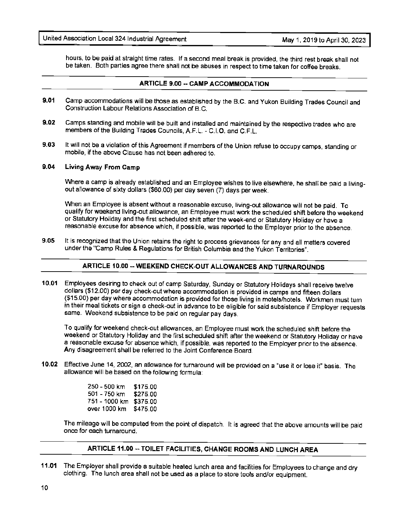hours, to be paid at straight time rates. If a second meal break is provided, the third rest break shall not be taken. Both parties agree there shall not be abuses in respect to time taken for coffee breaks.

# **ARTICLE 9.00** -- **CAMP ACCOMMODATION**

- **9.01** Camp accommodations will be those as established by the B.C. and Yukon Building Trades Council and Construction Labour Relations Association of B.C.
- **9.02** Camps standing and mobile will be built and installed and maintained by the respective trades who are members of the Building Trades Councils, A.F.L. - C.1.O. and C.F.L.
- **9.03** It will not be a violation of this Agreement if members of the Union refuse to occupy camps, standing or mobile, if the above Clause has not been adhered to.

#### **9.04 Living Away From Camp**

Where a camp is already established and an Employee wishes to live elsewhere, he shall be paid a livingout allowance of sixty dollars (\$60.00) per day seven (7) days per week.

When an Employee is absent without a reasonable excuse, living-out allowance will not be paid. To qualify for weekend living-out allowance, an Employee must work the scheduled shift before the weekend or Statutory Holiday and the first scheduled shift after the week-end or Statutory Holiday or have a reasonable excuse for absence which, if possible, was reported to the Employer prior to the absence.

**9.05** It is recognized that the Union retains the right to process grievances for any and all matters covered under the "Camp Rules & Regulations for British Columbia and the Yukon Territories".

# **ARTICLE 10.00 --WEEKEND CHECK-OUT ALLOWANCES AND TURNAROUNDS**

**10.01** Employees desiring to check out of camp Saturday, Sunday or Statutory Holidays shall receive twelve dollars (\$12.00) per day check-out where accommodation is provided in camps and fifteen dollars (\$15.00) per day where accommodation is provided for those living in motels/hotels. Workmen must turn in their meal tickets or sign a check-out in advance to be eligible for said subsistence if Employer requests same. Weekend subsistence to be paid on regular pay days.

To qualify for weekend check-out allowances, an Employee must work the scheduled shift before the weekend or Statutory Holiday and the first scheduled shift after the weekend or Statutory Holiday or have a reasonable excuse for absence which, if possible, was reported to the Employer prior to the absence. Any disagreement shall be referred to the Joint Conference Board.

**10.02** Effective June 14, 2002, an allowance for turnaround will be provided on a "use it or lose it" basis. The allowance will be based on the following formula:

| 250 - 500 km  | \$175.00 |
|---------------|----------|
| 501 - 750 km  | \$275.00 |
| 751 - 1000 km | \$375.00 |
| over 1000 km  | \$475.00 |

The mileage will be computed from the point of dispatch. It is agreed that the above amounts will be paid once for each turnaround.

# **ARTICLE 11.00** -- **TOILET FACILITIES, CHANGE ROOMS AND LUNCH AREA**

**11.01** The Employer shall provide a suitable heated lunch area and facilities for Employees to change and dry clothing. The lunch area shall not be used as a place to store tools and/or equipment.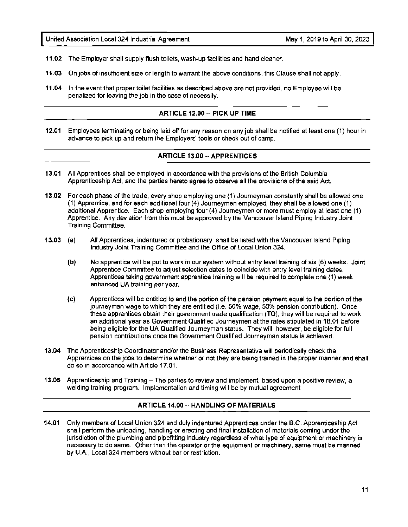- **11.02** The Employer shall supply flush toilets, wash-up facilities and hand cleaner.
- **11.03** On jobs of insufficient size or length to warrant the above conditions, this Clause shall not apply.
- **11.04** In the event that proper toilet facilities as described above are not provided, no Employee will be penalized for leaving the job in the case of necessity.

### **ARTICLE 12.00 -- PICK UP TIME**

**12.01** Employees terminating or being laid off for any reason on any job shall be notified at least one (1) hour in advance to pick up and return the Employers' tools or check out of camp.

#### **ARTICLE 13.00 --APPRENTICES**

- **13.01** All Apprentices shall be employed in accordance with the provisions of the British Columbia Apprenticeship Act, and the parties hereto agree to observe all the provisions of the said Act.
- **13.02** For each phase of the trade, every shop employing one (1) Journeyman constantly shall be allowed one (1) Apprentice, and for each additional four (4) Journeymen employed, they shall be allowed one (1) additional Apprentice. Each shop employing four (4) Journeymen or more must employ at least one (1) Apprentice. Any deviation from this must be approved by the Vancouver Island Piping Industry Joint Training Committee.
- **13.03 (a)**  All Apprentices, indentured or probationary, shall be listed with the Vancouver Island Piping Industry Joint Training Committee and the Office of Local Union 324.
	- **(b)**  No apprentice will be put to work in our system without entry level training of six (6) weeks. Joint Apprentice Committee to adjust selection dates to coincide with entry level training dates. Apprentices taking government apprentice training will be required to complete one (1) week enhanced UA training per year.
	- **(c)**  Apprentices will be entitled to and the portion of the pension payment equal to the portion of the journeyman wage to which they are entitled (i.e. 50% wage, 50% pension contribution). Once these apprentices obtain their government trade qualification (TQ), they will be required to work an additional year as Government Qualified Journeymen at the rates stipulated in 18.01 before being eligible for the UA Qualified Journeyman status. They will, however, be eligible for full pension contributions once the Government Qualified Journeyman status is achieved.
- **13.04** The Apprenticeship Coordinator and/or the Business Representative will periodically check the Apprentices on the jobs to determine whether or not they are being trained in the proper manner and shall do so in accordance with Article 17 .01.
- **13.05** Apprenticeship and Training The parties to review and implement, based upon a positive review, a welding training program. Implementation and timing will be by mutual agreement

# **ARTICLE 14.00 -- HANDLING OF MATERIALS**

**14.01** Only members of Local Union 324 and duly indentured Apprentices under the B.C. Apprenticeship Act shall perform the unloading, handling or erecting and final installation of materials coming under the jurisdiction of the plumbing and pipefitting industry regardless of what type of equipment or machinery is necessary to do same. Other than the operator or the equipment or machinery, same must be manned by U.A., Local 324 members without bar or restriction.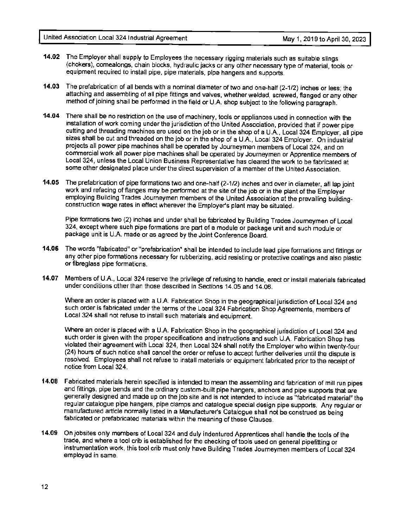- **14.02** The Employer shall supply to Employees the necessary rigging materials such as suitable slings (chokers), comealongs, chain blocks, hydraulic jacks or any other necessary type of material, tools or equipment required to install pipe, pipe materials, pipe hangers and supports.
- **14.03** The prefabrication of all bends with a nominal diameter of two and one-half (2-1/2) inches or less; the attaching and assembling of all pipe fittings and valves, whether welded, screwed, flanged or any other method of joining shall be performed in the field or U.A. shop subject to the following paragraph.
- **14.04** There shall be no restriction on the use of machinery, tools or appliances used in connection with the installation of work coming under the jurisdiction of the United Association, provided that if power pipe cutting and threading machines are used on the job or in the shop of a U.A., Local 324 Employer, all pipe sizes shall be cut and threaded on the job or in the shop of a U.A., Local 324 Employer. On industrial projects all power pipe machines shall be operated by Journeymen members of Local 324, and on commercial work all power pipe machines shall be operated by Journeymen or Apprentice members of Local 324, unless the Local Union Business Representative has cleared the work to be fabricated at some other designated place under the direct supervision of a member of the United Association.
- **14.05** The prefabrication of pipe formations two and one-half (2-1/2) inches and over in diameter, all lap joint work and refacing of flanges may be performed at the site of the job or in the plant of the Employer employing Building Trades Journeymen members of the United Association *at* the prevailing buildingconstruction wage rates in effect wherever the Employer's plant may be situated.

Pipe formations two (2) inches and under shall be fabricated by Building Trades Journeymen of Local 324, except where such pipe formations are part of a module or package unit and such module or package unit is U.A. made or as agreed by the Joint Conference Board.

- **14.06** The words "fabricated" or "prefabrication" shall be intended to include lead pipe formations and fittings or any other pipe formations necessary for rubberizing, acid resisting or protective coatings and also plastic or fibreglass pipe formations.
- **14.07** Members of U.A., Local 324 reserve the privilege of refusing to handle, erect or install materials fabricated under conditions other than those described in Sections 14.05 and 14.06.

Where an order is placed with a U.A. Fabrication Shop in the geographical jurisdiction of Local 324 and such order is fabricated under the terms of the Local 324 Fabrication Shop Agreements, members of Local 324 shall not refuse to install such materials and equipment.

Where an order is placed with a U.A. Fabrication Shop in the geographical jurisdiction of Local 324 and such order is given with the proper specifications and instructions and such U.A. Fabrication Shop has violated their agreement with Local 324, then Local 324 shall notify the Employer who within twenty-four (24) hours of such notice shall cancel the order or refuse to accept further deliveries until the dispute is resolved. Employees shall not refuse to install materials or equipment fabricated prior to the receipt of notice from Local 324.

- **14.08** Fabricated materials herein specified is intended to mean the assembling and fabrication of mill run pipes and fittings, pipe bends and the ordinary custom-built pipe hangers, anchors and pipe supports that are generally designed and made up on the job site and is not intended to include as "fabricated material" the regular catalogue pipe hangers, pipe clamps and catalogue special design pipe supports. Any regular or manufactured article normally listed in a Manufacturer's Catalogue shall not be construed as being fabricated or prefabricated materials within the meaning of these Clauses.
- **14.09** On jobsites only members of Local 324 and duly indentured Apprentices shall handle the tools of the trade, and where a tool crib is established for the checking of tools used on general pipefitting or instrumentation work, this tool crib must only have Building Trades Journeymen members of Local 324 employed in same.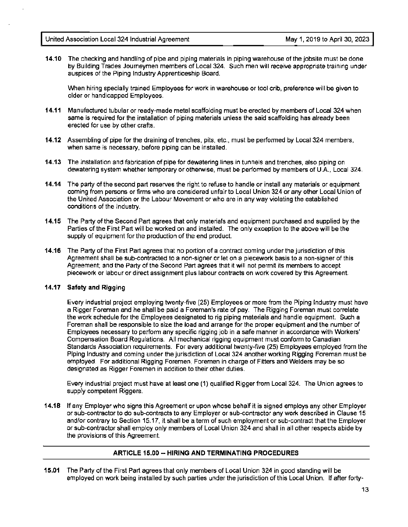**14.10** The checking and handling of pipe and piping materials in piping warehouse of the jobsite must be done by Building Trades Journeymen members of Local 324. Such men will receive appropriate training under auspices of the Piping Industry Apprenticeship Board.

When hiring specially trained Employees for work in warehouse or tool crib, preference will be given to older or handicapped Employees.

- **14.11** Manufactured tubular or ready-made metal scaffolding must be erected by members of Local 324 when same is required for the installation of piping materials unless the said scaffolding has already been erected for use by other crafts.
- **14.12** Assembling of pipe for the draining of trenches, pits, etc., must be performed by Local 324 members, when same is necessary, before piping can be installed.
- **14.13** The installation and fabrication of pipe for dewatering lines in tunnels and trenches, also piping on dewatering system whether temporary or otherwise, must be performed by members of U.A., Local 324.
- **14.14** The party of the second part reserves the right to refuse to handle or install any materials or equipment coming from persons or firms who are considered unfair to Local Union 324 or any other Local Union of the United Association or the Labour Movement or who are in any way violating the established conditions of the Industry.
- **14.15** The Party of the Second Part agrees that only materials and equipment purchased and supplied by the Parties of the First Part will be worked on and installed. The only exception to the above will be the supply of equipment for the production of the end product.
- **14.16** The Party of the First Part agrees that no portion of a contract coming under the jurisdiction of this Agreement shall be sub-contracted to a non-signer or let on a piecework basis to a non-signer of this Agreement; and the Party of the Second Part agrees that it will not permit its members to accept piecework or labour or direct assignment plus labour contracts on work covered by this Agreement.

# **14.17 Safety and Rigging**

Every industrial project employing twenty-five (25) Employees or more from the Piping Industry must have a Rigger Foreman and he shall be paid a Foreman's rate of pay. The Rigging Foreman must correlate the work schedule for the Employees designated to rig piping materials and handle equipment. Such a Foreman shall be responsible to size the load and arrange for the proper equipment and the number of Employees necessary to perform any specific rigging job in a safe manner in accordance with Workers' Compensation Board Regulations. Atl mechanical rigging equipment must conform to Canadian Standards Association requirements. For every additional twenty-five (25) Employees employed from the Piping Industry and coming under the jurisdiction of Local 324 another working Rigging Foreman must be employed. For additional Rigging Foremen, Foremen in charge of Fitters and Welders may be so designated as Rigger Foremen in addition to their other duties.

Every industrial project must have at least one (1) qualified Rigger from Local 324. The Union agrees to supply competent Riggers.

**14.18** If any Employer who signs this Agreement or upon whose behalf it is signed employs any other Employer or sub-contractor to do sub-contracts to any Employer or sub-contractor any work described in Clause 15 and/or contrary to Section 15.17, it shall be a term of such employment or sub-contract that the Employer or sub-contractor shall employ only members of Local Union 324 and shall in all other respects abide by the provisions of this Agreement.

# **ARTICLE 15.00 -- HIRING AND TERMINATING PROCEDURES**

**15.01** The Party of the First Part agrees that only members of Local Union 324 in good standing will be employed on work being installed by such parties under the jurisdiction of this Local Union. If after forty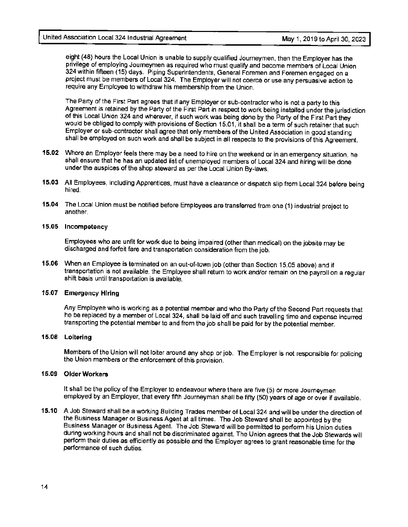eight (48) hours the Local Union is unable to supply qualified Journeymen, then the Employer has the privilege of employing Journeymen as required who must qualify and become members of Local Union 324 within fifteen (15) days. Piping Superintendents, General Foremen and Foremen engaged on a project must be members of Local 324. The Employer will not coerce or use any persuasive action to require any Employee to withdraw his membership from the Union.

The Party of the First Part agrees that if any Employer or sub-contractor who is not a party to this Agreement is retained by the Party of the First Part in respect to work being installed under the jurisdiction of this Local Union 324 and wherever, if such work was being done by the Party of the First Part they would be obliged to comply with provisions of Section 15.01, it shall be a term of such retainer that such Employer or sub-contractor shall agree that only members of the United Association in good standing shall be employed on such work and shall be subject in all respects to the provisions of this Agreement.

- **15.02** Where an Employer feels there may be a need to hire on the weekend or in an emergency situation, he shall ensure that he has an updated list of unemployed members of Local 324 and hiring will be done under the auspices of the shop steward as per the Local Union By-laws.
- **15.03** All Employees, including Apprentices, must have a clearance or dispatch slip from Local 324 before being hired.
- **15.04** The Local Union must be notified before Employees are transferred from one (1) industrial project to another.

#### **15.05 Incompetency**

Employees who are unfit for work due to being impaired (other than medical) on the jobsite may be discharged and forfeit fare and transportation consideration from the job.

**15.06** When an Employee is terminated on an out-of-town job (other than Section 15.05 above) and if transportation is not available, the Employee shall return to work and/or remain on the payroll on a regular shift basis until transportation is available.

#### **15.07 Emergency Hiring**

Any Employee who is working as a potential member and who the Party of the Second Part requests that he be replaced by a member of Local 324, shall be laid off and such travelling time and expense incurred transporting the potential member to and from the job shall be paid for by the potential member.

# **15.08 Loitering**

Members of the Union will not loiter around any shop or job. The Employer is not responsible for policing the Union members or the enforcement of this provision.

#### **15.09 Older Workers**

It shall be the policy of the Employer to endeavour where there are five (5) or more Journeymen employed by an Employer, that every fifth Journeyman shall be fifty (50) years of age or over if available.

**15.10** A Job Steward shall be a working Building Trades member of Local 324 and will be under the direction of the Business Manager or Business Agent at all times. The Job Steward shall be appointed by the Business Manager or Business Agent. The Job Steward will be permitted to perform his Union duties during working hours and shall not be discriminated against. The Union agrees that the Job Stewards will perform their duties as efficiently as possible and the Employer agrees to grant reasonable time for the performance of such duties.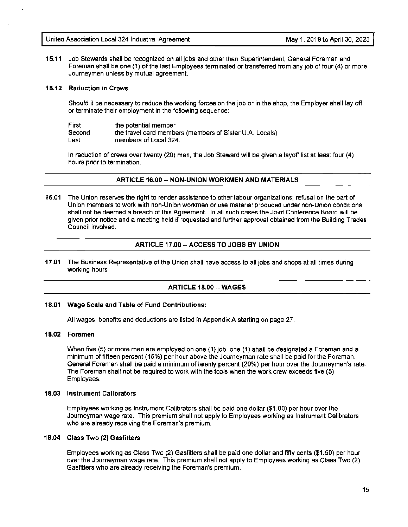**15.11** Job Stewards shall be recognized on all jobs and other than Superintendent, General Foreman and Foreman shall be one (1) of the last Employees terminated or transferred from any job of four (4) or more Journeymen unless by mutual agreement.

# **15.12 Reduction in Crews**

Should it be necessary to reduce the working forces on the job or in the shop, the Employer shall lay off or terminate their employment in the following sequence:

| First  | the potential member                                    |
|--------|---------------------------------------------------------|
| Second | the travel card members (members of Sister U.A. Locals) |
| Last   | members of Local 324.                                   |

In reduction of crews over twenty (20) men, the Job Steward will be given a layoff list at least four (4) hours prior to termination.

#### **ARTICLE 16.00-- NON-UNION WORKMEN AND MATERIALS**

**16.01** The Union reserves the right to render assistance to other labour organizations; refusal on the part of Union members to work with non-Union workmen or use material produced under non-Union conditions shall not be deemed a breach of this Agreement. In all such cases the Joint Conference Board will be given prior notice and a meeting held if requested and further approval obtained from the Building Trades Council involved.

# **ARTICLE 17.00 --ACCESS TO JOBS BY UNION**

**17.01** The Business Representative of the Union shall have access to all jobs and shops at all times during working hours

# **ARTICLE 18.00 --WAGES**

# **18.01 Wage Scale and Table of Fund Contributions:**

All wages, benefits and deductions are listed in Appendix A starting on page 27.

#### **18.02 Foremen**

When five (5) or more men are employed on one {1) job, one (1) shall be designated a Foreman and a minimum of fifteen percent (15%) per hour above the Journeyman rate shall be paid for the Foreman. General Foremen shall be paid a minimum of twenty percent (20%) per hour over the Journeyman's rate. The Foreman shall not be required to work with the tools when the work crew exceeds five (5) Employees.

#### **18.03 Instrument Calibrators**

Employees working as Instrument Calibrators shall be paid one dollar (\$1.00) per hour over the Journeyman wage rate. This premium shall not apply to Employees working as Instrument Calibrators who are already receiving the Foreman's premium.

#### **18.04 Class Two (2) Gasfitters**

Employees working as Class Two (2) Gasfitters shall be paid one dollar and fifty cents (\$1.50) per hour over the Journeyman wage rate. This premium shall not apply to Employees working as Class Two (2) Gasfitters who are already receiving the Foreman's premium.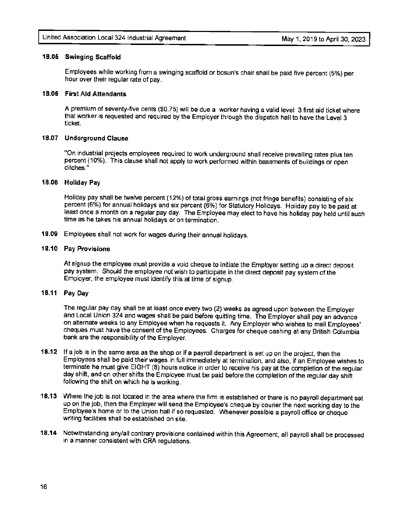#### **18.05 Swinging Scaffold**

Employees while working from a swinging scaffold or bosun's chair shall be paid five percent (5%) per hour over their regular rate of pay.

### **18.06 First Aid Attendants**

A premium of seventy-five cents (\$0.75) will be due a worker having a valid level 3 first aid ticket where that worker is requested and required by the Employer through the dispatch hall to have the Level 3 ticket.

# **18.07 Underground Clause**

"On industrial projects employees required to work underground shall receive prevailing rates plus ten percent (10%). This clause shall not apply to work performed within basements of buildings or open ditches."

### **18.08 Holiday Pay**

Holiday pay shall be twelve percent (12%} of total gross earnings (not fringe benefits) consisting of six percent (6%) for annual holidays and six percent (6%) for Statutory Holidays. Holiday pay to be paid at least once a month on a regular pay day. The Employee may elect to have his holiday pay held until such time as he takes his annual holidays or on termination.

**18.09** Employees shall not work for wages during their annual holidays.

#### **18.10 Pay Provisions**

At signup the employee must provide a void cheque to initiate the Employer setting up a direct deposit pay system. Should the employee not wish to participate in the direct deposit pay system of the Employer, the employee must identify this at time of signup.

# **18.11 Pay Day**

The regular pay day shall be at least once every two (2) weeks as agreed upon between the Employer and Local Union 324 and wages shall be paid before quitting time. The Employer shall pay an advance on alternate weeks to any Employee when he requests it. Any Employer who wishes to mail Employees' cheques must have the consent of the Employees. Charges for cheque cashing at any British Columbia bank are the responsibility of the Employer.

- **18.12** If a job is in the same area as the shop or if a payroll department is set up on the project, then the Employees shall be paid their wages in full immediately at termination, and also, if an Employee wishes to terminate he must give EIGHT (8) hours notice in order to receive his pay at the completion of the regular day shift, and on other shifts the Employee must be paid before the completion of the regular day shift following the shift on which he is working.
- **18.13** Where the job is not located in the area where the firm is established or there is no payroll department set up on the job, then the Employer will send the Employee's cheque by courier the next working day to the Employee's home or to the Union hall if so requested. Whenever possible a payroll office or cheque writing facilities shall be established on site.
- **18.14** Notwithstanding any/all contrary provisions contained within this Agreement, all payroll shall be processed in a manner consistent with CRA regulations.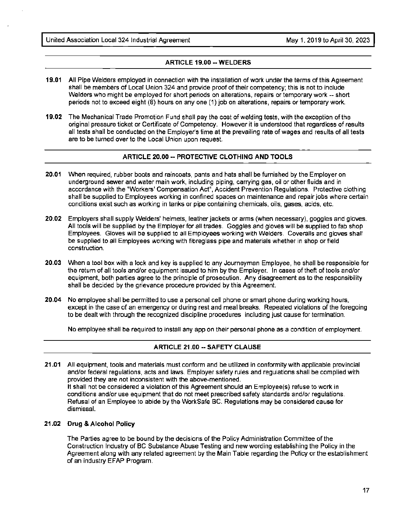United Association Local 324 Industrial Agreement May 1, 2019 to April 30, 2023

# **ARTICLE 19.00 --WELDERS**

- **19.01** All Pipe Welders employed in connection with the installation of work under the terms of this Agreement shall be members of Local Union 324 and provide proof of their competency; this is not to include Welders who might be employed for short periods on alterations, repairs or temporary work -- short periods not to exceed eight (8) hours on any one (1) job on alterations, repairs or temporary work.
- **19.02** The Mechanical Trade Promotion Fund shall pay the cost of welding tests, with the exception of the original pressure ticket or Certificate of Competency. However it is understood that regardless of results all tests shall be conducted on the Employer's time at the prevailing rate of wages and results of all tests are to be turned over to the Local Union upon request.

# **ARTICLE 20.00 -- PROTECTIVE CLOTHING AND TOOLS**

- **20.01** When required, rubber boots and raincoats, pants and hats shall be furnished by the Employer on underground sewer and water main work, including piping, carrying gas, oil or other fluids and in accordance with the "Workers' Compensation Act", Accident Prevention Regulations. Protective clothing shall be supplied to Employees working in confined spaces on maintenance and repair jobs where certain conditions exist such as working in tanks or pipe containing chemicals, oils, gases, acids, etc.
- **20.02** Employers shall supply Welders' helmets, leather jackets or arms (when necessary), goggles and gloves. All tools will be supplied by the Employer for all trades. Goggles and gloves will be supplied to fab shop Employees. Gloves will be supplied to all Employees working with Welders. Coveralls and gloves shall be supplied to all Employees working with fibreglass pipe and materials whether in shop or field construction.
- **20.03** When a tool box with a lock and key is supplied to any Journeyman Employee, he shall be responsible for the return of all tools and/or equipment issued to him by the Employer. In cases of theft of tools and/or equipment, both parties agree to the principle of prosecution. Any disagreement as to the responsibility shall be decided by the grievance procedure provided by this Agreement.
- **20.04** No employee shall be permitted to use a personal cell phone or smart phone during working hours, except in the case of an emergency or during rest and meal breaks. Repeated violations of the foregoing to be dealt with through the recognized discipline procedures including just cause for termination.

No employee shall be required to install any app on their personal phone as a condition of employment.

# **ARTICLE 21.00 -- SAFETY CLAUSE**

**21.01** All equipment, tools and materials must conform and be utilized in conformity with applicable provincial and/or federal regulations, acts and laws. Employer safety rules and regulations shall be complied with provided they are not inconsistent with the above-mentioned. 11 shall not be considered a violation of this Agreement should an Employee(s) refuse to work in conditions and/or use equipment that do not meet prescribed safety standards and/or regulations. Refusal of an Employee to abide by the WorkSafe BC. Regulations may be considered cause for dismissal.

#### **21.02 Drug & Alcohol Policy**

The Parties agree to be bound by the decisions of the Policy Administration Committee of the Construction Industry of BC Substance Abuse Testing and new wording establishing the Policy in the Agreement along with any related agreement by the Main Table regarding the Policy or the establishment of an industry EFAP Program.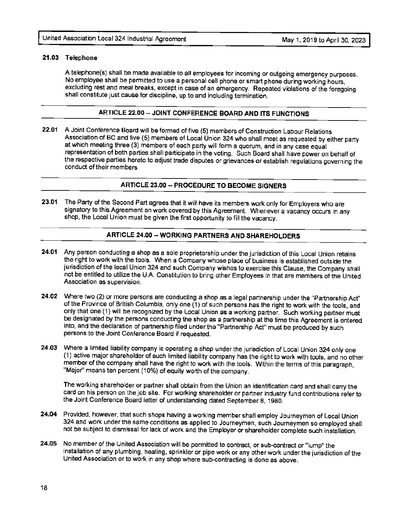### **21.03 Telephone**

A telephone(s) shall be made available to all employees for incoming or outgoing emergency purposes. No employee shall be permitted to use a personal cell phone or smart phone during working hours, excluding rest and meal breaks, except in case of an emergency. Repeated violations of the foregoing shall constitute just cause for discipline, up to and including termination.

# **ARTICLE 22.00 -- JOINT CONFERENCE BOARD AND ITS FUNCTIONS**

**22.01** A Joint Conference Board will be formed of five (5) members of Construction Labour Relations Association of BC and five (5) members of Local Union 324 who shall meet as requested by either party at which meeting three (3) members of each party will form a quorum, and in any case equal representation of both parties shall participate in the voting. Such Board shall have power on behalf of the respective parties hereto to adjust trade disputes or grievances or establish regulations governing the conduct of their members

# **ARTICLE 23.00 -- PROCEDURE TO BECOME SIGNERS**

**23.01** The Party of the Second Part agrees that it will have its members work only for Employers who are signatory to this Agreement on work covered by this Agreement. Whenever a vacancy occurs in any shop, the Local Union must be given the first opportunity to fill the vacancy.

# **ARTICLE 24.00 ·• WORKING PARTNERS AND SHAREHOLDERS**

- **24.01** Any person conducting a shop as a sole proprietorship under the jurisdiction of this Local Union retains the right to work with the tools. When a Company whose place of business is established outside the jurisdiction of the local Union 324 and such Company wishes to exercise this Clause, the Company shall not be entitled to utilize the U.A. Constitution to bring other Employees in that are members of the United Association as supervision.
- **24.02** Where two (2) or more persons are conducting a shop as a legal partnership under the "Partnership Act" of the Province of British Columbia, only one (1) of such persons has the right to work with the tools, and only that one (1) will be recognized by the Local Union as a working partner. Such working partner must be designated by the persons conducting the shop as a partnership at the time this Agreement is entered into, and the declaration of partnership filed under the "Partnership Act" must be produced by such persons to the Joint Conference Board if requested.
- **24.03** Where a limited liability company is operating a shop under the jurisdiction of Local Union 324 only one (1) active major shareholder of such limited liability company has the right to work with tools, and no other member of the company shall have the right to work with the tools. Within the terms of this paragraph, "Major" means ten percent (10%) of equity worth of the company.

The working shareholder or partner shall obtain from the Union an identification card and shall carry the card on his person on the job site. For working shareholder or partner industry fund contributions refer to the Joint Conference Board letter of understanding dated September 8, 1980.

- **24.04** Provided, however, that such shops having a working member shall employ Journeymen of Local Union 324 and work under the same conditions as applied to Journeymen, such Journeymen so employed shall not be subject to dismissal for lack of work and the Employer or shareholder complete such installation.
- **24.05** No member of the United Association will be permitted to contract, or sub-contract or "lump" the installation of any plumbing, heating, sprinkler or pipe work or any other work under the jurisdiction of the United Association or to work in any shop where sub-contracting is done as above.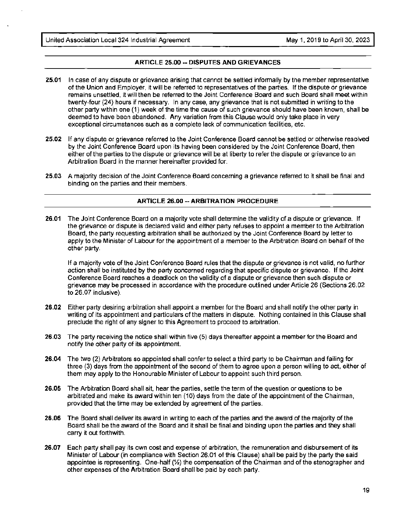#### **ARTICLE 25.00-- DISPUTES AND GRIEVANCES**

- **25.01** In case of any dispute or grievance arising that cannot be settled informally by the member representative of the Union and Employer, it will be referred to representatives of the parties. If the dispute or grievance remains unsettled, it will then be referred to the Joint Conference Board and such Board shall meet within twenty-four (24) hours if necessary. In any case, any grievance that is not submitted in writing to the other party within one (1) week of the time the cause of such grievance should have been known, shall be deemed to have been abandoned. Any variation from this Clause would only take place in very exceptional circumstances such as a complete lack of communication facilities, etc.
- **25.02** If any dispute or grievance referred to the Joint Conference Board cannot be settled or otherwise resolved by the Joint Conference Board upon its having been considered by the Joint Conference Board, then either of the parties to the dispute or grievance will be at liberty to refer the dispute or grievance to an Arbitration Board in the manner hereinafter provided for.
- **25.03 A** majority decision of the Joint Conference Board concerning a grievance referred to it shall be final and binding on the parties and their members.

#### **ARTICLE 26.00 -- ARBITRATION PROCEDURE**

**26.01** The Joint Conference Board on a majority vote shall determine the validity of a dispute or grievance. If the grievance or dispute is declared valid and either party refuses to appoint a member to the Arbitration Board, the party requesting arbitration shall be authorized by the Joint Conference Board by letter to apply to the Minister of Labour for the appointment of a member to the Arbitration Board on behalf of the other party.

If a majority vote of the Joint Conference Board rules that the dispute or grievance is not valid, no further action shall be instituted by the party concerned regarding that specific dispute or grievance. If the Joint Conference Board reaches a deadlock on the validity of a dispute or grievance then such dispute or grievance may be processed in accordance with the procedure outlined under Article 26 (Sections 26.02 to 26.07 inclusive).

- **26.02** Either party desiring arbitration shall appoint a member for the Board and shall notify the other party in writing of its appointment and particulars of the matters in dispute. Nothing contained in this Clause shall preclude the right of any signer to this Agreement to proceed to arbitration.
- **26.03** The party receiving the notice shall within five (5) days thereafter appoint a member for the Board and notify the other party of its appointment.
- **26.04** The two (2) Arbitrators so appointed shall confer to select a third party to be Chairman and failing for three (3) days from the appointment of the second of them to agree upon a person willing to act, either of them may apply to the Honourable Minister of Labour to appoint such third person.
- **26.05** The Arbitration Board shall sit, hear the parties, settle the term of the question or questions to be arbitrated and make its award within ten (10) days from the date of the appointment of the Chairman, provided that the time may be extended by agreement of the parties.
- **26.06** The Board shall deliver its award in writing to each of the parties and the award of the majority of the Board shall be the award of the Board and it shall be final and binding upon the parties and they shall carry it out forthwith.
- **26.07** Each party shall pay its own cost and expense of arbitration, the remuneration and disbursement of its Minister of Labour (in compliance with Section 26.01 of this Clause) shall be paid by the party the said appointee is representing. One-half  $\mathcal{V}_2$  the compensation of the Chairman and of the stenographer and other expenses of the Arbitration Board shall be paid by each party.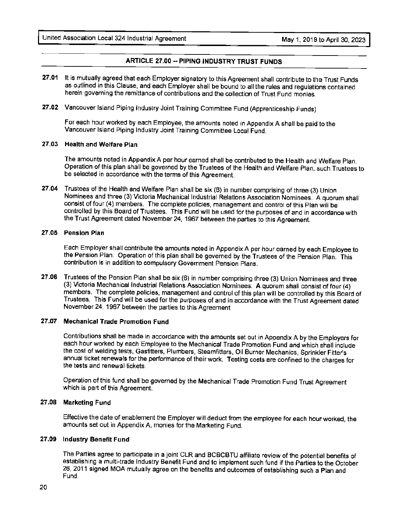# **ARTICLE 27.00 --PIPING INDUSTRY TRUST FUNDS**

- **27.01** It is mutually agreed that each Employer signatory to this Agreement shall contribute to the Trust Funds as outlined in this Clause, and each Employer shall be bound to all the rules and regulations contained herein governing the remittance of contributions and the collection of Trust Fund monies.
- **27 .02** Vancouver Island Piping Industry Joint Training Committee Fund (Apprenticeship Funds)

For each hour worked by each Employee, the amounts noted in Appendix A shall be paid to the Vancouver Island Piping Industry Joint Training Committee Loca! Fund.

# **27.03 Health and Welfare Plan**

The amounts noted in Appendix A per hour earned shall be contributed to the Health and Welfare Plan. Operation of this plan shall be governed by the Trustees of the Health and Welfare Plan, such Trustees to be selected in accordance with the terms of this Agreement.

**27.04** Trustees of the Health and Welfare Plan shall be six (6) in number comprising of three (3) Union Nominees and three (3) Victoria Mechanical Industrial Relations Association Nominees. A quorum shall consist of four (4) members. The complete policies, management and control of this Plan will be controlled by this Board of Trustees. This Fund will be used for the purposes of and in accordance with the Trust Agreement dated November 24, 1967 between the parties to this Agreement.

#### **27.05 Pension Plan**

Each Employer shall contribute the amounts noted in Appendix A per hour earned by each Employee to the Pension Plan. Operation of this plan shall be governed by the Trustees of the Pension Plan. This contribution is in addition to compulsory Government Pension Plans.

**27.06** Trustees of the Pension Plan shall be six (6) in number comprising three (3) Union Nominees and three (3) Victoria Mechanical Industrial Relations Association Nominees. A quorum shall consist of four (4) members. The complete policies, management and control of this plan will be controlled by this Board of Trustees. This Fund will be used for the purposes of and in accordance with the Trust Agreement dated November 24, 1967 between the parties to this Agreement.

# **27.07 Mechanical Trade Promotion Fund**

Contributions shall be made in accordance with the amounts set out in Appendix A by the Employers for each hour worked by each Employee to the Mechanical Trade Promotion Fund and which shall include the cost of welding tests, Gasfitters, Plumbers, Steamfitters, Oil Burner Mechanics, Sprinkler Fitter's annual ticket renewals for the performance of their work. Testing costs are confined to the charges for the tests and renewal tickets.

Operation of this fund shall be governed by the Mechanical Trade Promotion Fund Trust Agreement which is part of this Agreement.

# **27.08 Marketing Fund**

Effective the date of enablement the Employer will deduct from the employee for each hour worked, the amounts set out in Appendix A, monies for the Marketing Fund.

# **27.09 Industry Benefit Fund**

The Parties agree to participate in a joint CLR and BCBCBTU affiliate review of the potential benefits of establishing a multi-trade Industry Benefit Fund and to implement such fund if the Parties to the October 26, 2011 signed MOA mutually agree on the benefits and outcomes of establishing such a Plan and Fund,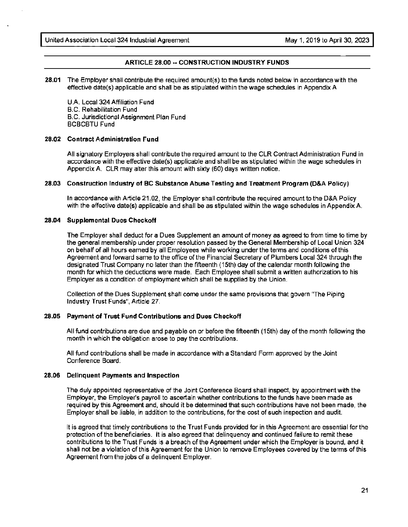### **ARTICLE 28.00** -- **CONSTRUCTION INDUSTRY FUNDS**

**28.01** The Employer shall contribute the required amount(s) to the funds noted below in accordance with the effective date(s) applicable and shall be as stipulated within the wage schedules in Appendix A

U.A. Local 324 Affiliation Fund B.C. Rehabilitation Fund B.C. Jurisdictional Assignment Plan Fund BCBCBTU Fund

#### **28.02 Contract Administration Fund**

All signatory Employers shall contribute the required amount to the CLR Contract Administration Fund in accordance with the effective date(s) applicable and shall be as stipulated within the wage schedules in Appendix A. CLR may alter this amount with sixty (60) days written notice.

#### **28.03 Construction Industry of BC Substance Abuse Testing and Treatment Program (D&A Policy)**

In accordance with Article 21.02, the Employer shall contribute the required amount to the D&A Policy with the effective date(s) applicable and shall be as stipulated within the wage schedules in Appendix A.

#### **28.04 Supplemental Dues Checkoff**

The Employer shall deduct for a Dues Supplement an amount of money as agreed to from time to time by the general membership under proper resolution passed by the General Membership of Local Union 324 on behalf of all hours earned by all Employees while working under the terms and conditions of this Agreement and forward same to the office of the Financial Secretary of Plumbers Local 324 through the designated Trust Company no later than the fifteenth (15th) day of the calendar month following the month for which the deductions were made. Each Employee shall submit a written authorization to his Employer as a condition of employment which shall be supplied by the Union.

Collection of the Dues Supplement shall come under the same provisions that govern "The Piping Industry Trust Funds", Article 27.

#### **28.05 Payment of Trust Fund Contributions and Dues Checkoff**

All fund contributions are due and payable on or before the fifteenth (15th) day of the month following the month in which the obligation arose to pay the contributions.

All fund contributions shall be made in accordance with a Standard Form approved by the Joint Conference Board.

#### **28.06 Delinquent Payments and Inspection**

The duly appointed representative of the Joint Conference Board shall inspect, by appointment with the Employer, the Employer's payroll to ascertain whether contributions to the funds have been made as required by this Agreement and, should it be determined that such contributions have not been made, the Employer shall be liable, in addition to the contributions, for the cost of such inspection and audit.

It is agreed that timely contributions to the Trust Funds provided for in this Agreement are essential for the protection of the beneficiaries. It is also agreed that delinquency and continued failure to remit these contributions to the Trust Funds is a breach of the Agreement under which the Employer is bound, and it shall not be a violation of this Agreement for the Union to remove Employees covered by the terms of this Agreement from the jobs of a delinquent Employer.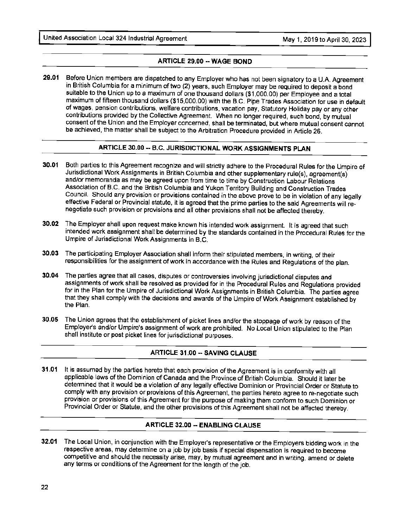# **ARTICLE 29.00 -- WAGE BOND**

**29.01** Before Union members are dispatched to any Employer who has not been signatory to a U.A. Agreement in British Columbia for a minimum of two (2) years, such Employer may be required to deposit a bond suitable to the Union up to a maximum of one thousand dollars (\$1,000.00) per Employee and a total maximum of fifteen thousand dollars (\$15,000.00) with the B.C. Pipe Trades Association for use in default of wages, pension contributions, welfare contributions, vacation pay, Statutory Holiday pay or any other contributions provided by the Collective Agreement. When no longer required, such bond, by mutual consent of the Union and the Employer concerned, shall be terminated, but where mutual consent cannot be achieved, the matter shall be subject to the Arbitration Procedure provided in Article 26.

# **ARTICLE 30.00 -- B.C. JURISDICTIONAL WORK ASSIGNMENTS PLAN**

- **30.01** Both parties to this Agreement recognize and will strictly adhere to the Procedural Rules for the Umpire of Jurisdictional Work Assignments in British Columbia and other supplementary rule(s), agreement(s) and/or memoranda as may be agreed upon from time to time by Construction Labour Relations Association of 8.C. and the British Columbia and Yukon Territory Building and Construction Trades Council. Should any provision or provisions contained in the above prove to be in violation of any legally effective Federal or Provincial statute, it is agreed that the prime parties to the said Agreements will re~ negotiate such provision or provisions and all other provisions shall not be affected thereby.
- **30.02** The Employer shall upon request make known his intended work assignment. It is agreed that such intended work assignment shall be determined by the standards contained in the Procedural Rules for the Umpire of Jurisdictional Work Assignments in B.C.
- **30.03** The participating Employer Association shall inform their stipulated members, in writing, of their responsibilities for the assignment of work in accordance with the Rules and Regulations of the plan.
- **30.04** The parties agree that all cases, disputes or controversies involving jurisdictional disputes and assignments of work shall be resolved as provided for in the Procedural Rules and Regulations provided for in the Plan for the Umpire of Jurisdictional Work Assignments in British Columbia. The parties agree that they shall comply with the decisions and awards of the Umpire of Work Assignment established by the Plan.
- **30.05** The Union agrees that the establishment of picket lines and/or the stoppage of work by reason of the Employer's and/or Umpire's assignment of work are prohibited. No Local Union stipulated to the Plan shall institute or post picket lines for jurisdictional purposes.

# **ARTICLE 31.00 -- SAVING CLAUSE**

**31.01** It is assumed by the parties hereto that each provision of the Agreement is in conformity with all applicable laws of the Dominion of Canada and the Province of British Columbia. Should it later be determined that it would be a violation of any legally effective Dominion or Provincial Order or Statute to comply with any provision or provisions of this Agreement, the parties hereto agree to re-negotiate such provision or provisions of this Agreement for the purpose of making them conform to such Dominion or Provincial Order or Statute, and the other provisions of this Agreement shall not be affected thereby.

# **ARTICLE 32.00 -- ENABLING CLAUSE**

**32.01** The Local Union, in conjunction with the Employer's representative or the Employers bidding work in the respective areas, may determine on a job by job basis if special dispensation is required to become competitive and should the necessity arise, may, by mutual agreement and in writing, amend or delete any terms or conditions of the Agreement for the length of the job.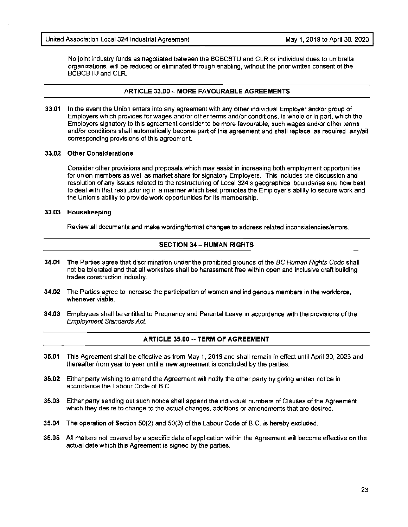No joint industry funds as negotiated between the BCBCBTU and CLR or individual dues to umbrella organizations, will be reduced or eliminated through enabling, without the prior written consent of the BCBCBTU and CLR.

### **ARTICLE 33.00- MORE FAVOURABLE AGREEMENTS**

**33.01** In the event the Union enters into any agreement with any other individual Employer and/or group of Employers which provides for wages and/or other terms and/or conditions, in whole or in part, which the Employers signatory to this agreement consider to be more favourable, such wages and/or other terms and/or conditions shall automatically become part of this agreement and shall replace, as required, any/all corresponding provisions of this agreement.

#### **33.02 Other Considerations**

Consider other provisions and proposals which may assist in increasing both employment opportunities for union members as well as market share for signatory Employers. This includes the discussion and resolution of any issues related to the restructuring of Local 324's geographical boundaries and how best to deal with that restructuring in a manner which best promotes the Employer's ability to secure work and the Union's ability to provide work opportunities for its membership.

#### **33.03 Housekeeping**

Review all documents and make wording/format changes to address related inconsistencies/errors.

# **SECTION 34- HUMAN RIGHTS**

- **34.01** The Parties agree that discrimination under the prohibited grounds of the BC Human Rights Code shall not be tolerated and that all worksites shall be harassment free within open and inclusive craft building trades construction industry.
- **34.02** The Parties agree to increase the participation of women and indigenous members in the workforce, whenever viable.
- **34.03** Employees shall be entitled to Pregnancy and Parental Leave in accordance with the provisions of the Employment Standards Act.

# **ARTICLE 35.00 -- TERM OF AGREEMENT**

- **35.01** This Agreement shall be effective as from May 1, 2019 and shall remain in effect until April 30, 2023 and thereafter from year to year until a new agreement is concluded by the parties.
- **35.02** Either party wishing to amend the Agreement will notify the other party by giving written notice in accordance the Labour Code of B.C.
- **35.03** Either party sending out such notice shall append the individual numbers of Clauses of the Agreement which they desire to change to the actual changes, additions or amendments that are desired.
- **35.04** The operation of Section 50(2) and 50(3) of the Labour Code of B.C. is hereby excluded.
- **35.05** All matters not covered by a specific date of application within the Agreement will become effective on the actual date which this Agreement is signed by the parties.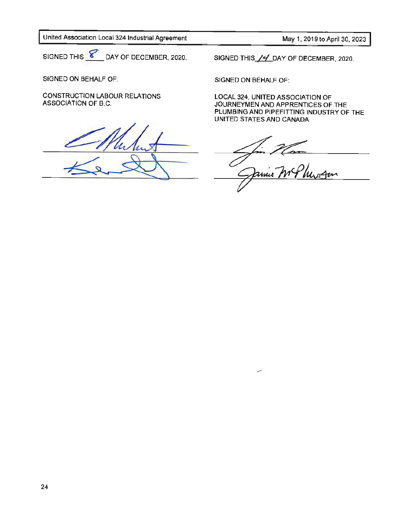May 1, 2019 to April 30, 2023

SIGNED THIS  $\boxed{\mathcal{C}}$  DAY OF DECEMBER, 2020.

SIGNED ON BEHALF OF:

CONSTRUCTION LABOUR RELATIONS ASSOCIATION OF B.C.

SIGNED THIS / Y DAY OF DECEMBER, 2020.

SIGNED ON BEHALF OF:

مب

LOCAL 324, UNITED ASSOCIATION OF JOURNEYMEN AND APPRENTICES OF THE PLUMBING AND PIPEFITTING INDUSTRY OF THE UNITED STATES AND CANADA

<u>ur Com</u>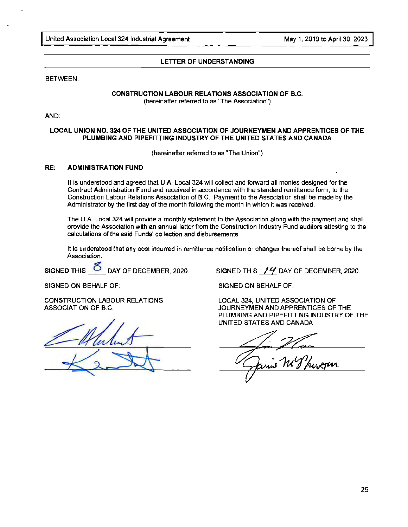#### **LETTER OF UNDERSTANDING**

#### BETWEEN:

#### **CONSTRUCTION LABOUR RELATIONS ASSOCIATION OF B.C.**  (hereinafter referred to as "The Association")

AND:

#### **LOCAL UNION NO. 324 OF THE UNITED ASSOCIATION OF JOURNEYMEN AND APPRENTICES OF THE PLUMBING AND PIPEFITTING INDUSTRY OF** THE **UNITED STATES AND CANADA**

(hereinafter referred to as "The Union")

#### **RE: ADMINISTRATION FUND**

It is understood and agreed that U.A. Local 324 will collect and forward all monies designed for the Contract Administration Fund and received in accordance with the standard remittance form, to the Construction Labour Relations Association of B.C. Payment to the Association shall be made by the Administrator by the first day of the month following the month in which it was received.

The U.A. Local 324 will provide a monthly statement to the Association along with the payment and shall provide the Association with an annual letter from the Construction Industry Fund auditors attesting to the calculations of the said Funds' collection and disbursements.

It is understood that any cost incurred in remittance notification or changes thereof shall be borne by the Association.

SIGNED THIS **O** DAY OF DECEMBER, 2020. SIGNED THIS **14** DAY OF DECEMBER, 2020.

SIGNED ON BEHALF OF:

CONSTRUCTION LABOUR RELATIONS ASSOCIATION OF B.C.

SIGNED ON BEHALF OF:

LOCAL 324, UNITED ASSOCIATION OF JOURNEYMEN AND APPRENTICES OF THE PLUMBING AND PIPEFITTING INDUSTRY OF THE UNITED STATES AND CANADA

inie My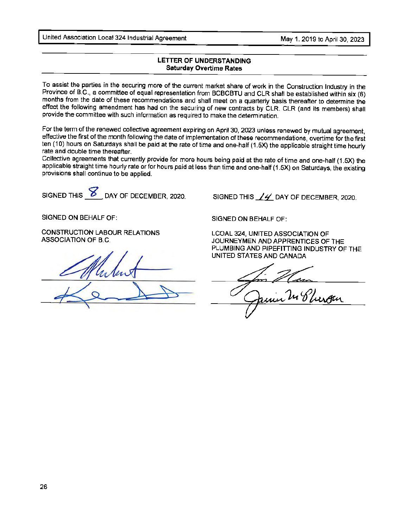United Association Local 324 Industrial Agreement May 1. 2019 to April 30, 2023

# LETTER OF **UNDERSTANDING Saturday** Overtime **Rates**

To assist the parties in the securing more of the current market share of work in the Construction Industry in the Province of B.C., a committee of equal representation from BCBCBTU and CLR shall be established within six (6) months from the date of these recommendations and shall meet on a quarterly basis thereafter to determine the effect the following amendment has had on the securing of new contracts by CLR. CLR (and its members) shall provide the committee with such information as required to make the determination.

For the term of the renewed collective agreement expiring on April 30, 2023 unless renewed by mutual agreement, effective the first of the month following the date of implementation of these recommendations, overtime for the first ten (10) hours on Saturdays shall be paid at the rate of time and one-half (1.5X) the applicable straight time hourly rate and double time thereafter.

Collective agreements that currently provide for more hours being paid at the rate of time and one-half (1.5X) the applicable straight time hourly rate or for hours paid at less than time and one-half (1.5X) on Saturdays, the existing provisions shall continue to be applied.

SIGNED THIS **8** DAY OF DECEMBER, 2020.

SIGNED ON BEHALF OF:

CONSTRUCTION LABOUR RELATIONS ASSOCIATION OF B.C.

STRUCTION LABOUR RELATIO

SIGNED THIS  $\angle$  4 DAY OF DECEMBER, 2020.

SIGNED ON BEHALF OF:

LCOAL 324, UNITED ASSOCIATION OF JOURNEYMEN AND APPRENTICES OF THE PLUMBING AND PIPEFITTING INDUSTRY OF THE UNITED STATES AND CANADA

in 24 Phergen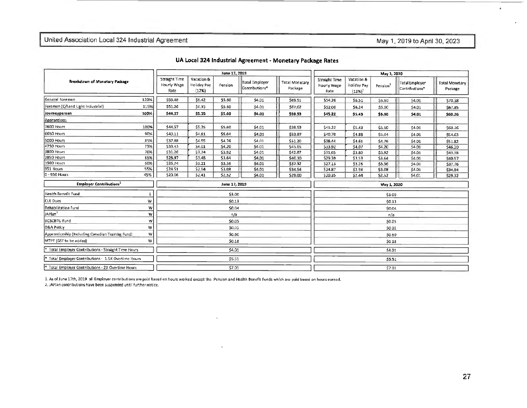# May 1, 2019 to April 30, 2023

| UA Local 324 Industrial Agreement - Monetary Package Rates |  |  |
|------------------------------------------------------------|--|--|
|------------------------------------------------------------|--|--|

| Breakdown of Monetary Padtage                        |      | June 17, 2019                               |                                           |               |                                              |                                  | May 1, 2020                                 |                                          |             |                                         |                                  |
|------------------------------------------------------|------|---------------------------------------------|-------------------------------------------|---------------|----------------------------------------------|----------------------------------|---------------------------------------------|------------------------------------------|-------------|-----------------------------------------|----------------------------------|
|                                                      |      | <b>Straight Time</b><br>Hourly Wage<br>Rate | Vacation &<br><b>Holiday Pay</b><br>(12%) | Pension       | Total Employer<br>Contributions <sup>*</sup> | <b>Total Monetary</b><br>Package | <b>Straight Time</b><br>Hourly Wage<br>Rate | Vacation &<br>Holiday Pay<br>$(12%)^{1}$ | Pension3    | <b>Total Employer</b><br>Contributions* | <b>Total Monetary</b><br>Package |
| General Foreman                                      | 120% | \$53.48                                     | \$6.42                                    | \$5.60        | \$4.01                                       | \$69.51                          | \$54.26                                     | \$6.51                                   | \$5.60      | S4.01                                   | \$70,38                          |
| Foreman (C/I and Light Industrial)                   | 115% | \$51.26                                     | \$6,15                                    | \$5.60        | 54.01                                        | \$67.02                          | \$52.00                                     | \$6.24                                   | \$5.60      | \$4.01                                  | \$67.85                          |
| Journeyperson                                        | 100% | \$44.57                                     | \$5.35                                    | \$5.60        | \$4.01                                       | \$59.53                          | 545.22                                      | \$5.43                                   | \$5.60      | \$4.01                                  | \$60.26                          |
| Apprentices:                                         |      |                                             |                                           |               |                                              |                                  |                                             |                                          |             |                                         |                                  |
| 7600 Hours                                           | 100% | \$44.57                                     | \$5.35                                    | \$5,60        | \$4.01                                       | \$59.53                          | \$45.22                                     | \$5.43                                   | \$5.60      | \$4.01                                  | \$60.26                          |
| 6650 Hours                                           | 90%  | \$40.11                                     | \$4.81                                    | \$5.04        | \$4.01                                       | \$53.97                          | \$40.70                                     | \$4.88                                   | \$5.04      | \$4.01                                  | \$54.63                          |
| 5000 Hours                                           | 85%  | \$37.88                                     | \$4.55                                    | \$4.76        | \$4,01                                       | \$51.20                          | \$38.44                                     | \$4.61                                   | \$4.76      | \$4.01                                  | \$51.82                          |
| <b>4750 Hours</b>                                    | 75%  | 533.43                                      | \$4.01                                    | \$4.20        | \$4.01                                       | \$45.65                          | \$33.92                                     | \$4.07                                   | \$4.20      | 54.01                                   | \$46.20                          |
| 3800 Hours                                           | 70%  | \$31.20                                     | \$3,74                                    | \$3.92        | \$4.01                                       | \$42.87                          | \$31,65                                     | \$3.80                                   | \$3.92      | \$4.01                                  | \$43,38                          |
| 2850 Hours                                           | 65%  | \$28.97                                     | \$3.48                                    | \$3.64        | \$4.01                                       | \$40.10                          | \$29.39                                     | \$3,53                                   | \$3.64      | \$4.01                                  | \$40.57                          |
| 1900 Hours                                           | 60%  | \$26,74                                     | \$3.21                                    | \$3.36        | 54.01                                        | \$37.32                          | \$27.13                                     | \$3.26                                   | \$3.36      | \$4.01                                  | \$37.76                          |
| 951 Hours                                            | 55%  | \$24.51                                     | \$2.94                                    | \$3.08        | \$4.01                                       | \$34.54                          | 524.87                                      | \$2.98                                   | \$3.08      | \$4.01                                  | \$34.94                          |
| $0 - 950$ Hours                                      | 45%  | \$20.06                                     | \$2.41                                    | \$2.52        | \$4.01                                       | \$29.00                          | \$20.35                                     | \$2.44                                   | S2.52       | \$4.01                                  | 529.32                           |
| <b>Employer Contributions</b>                        |      |                                             |                                           | June 17, 2019 |                                              |                                  |                                             |                                          | May 1, 2020 |                                         |                                  |
| Health Benefit Fund                                  |      |                                             |                                           | \$3.00        |                                              |                                  |                                             |                                          | \$3.00      |                                         |                                  |
| CLR Dues                                             | w    |                                             |                                           | \$0.13        |                                              |                                  |                                             |                                          | \$0.13      |                                         |                                  |
| Rehabilitation Fund                                  | w    |                                             |                                           | \$0.04        |                                              |                                  | \$0,04                                      |                                          |             |                                         |                                  |
| JAPlan <sup>2</sup>                                  | w    |                                             |                                           | n/a           |                                              |                                  | n/a                                         |                                          |             |                                         |                                  |
| <b>BCBCBTU Fund</b>                                  | w    |                                             |                                           | \$0.05        |                                              |                                  |                                             |                                          | \$0.05      |                                         |                                  |
| D&A Policy                                           | W    |                                             |                                           | \$0.01        |                                              |                                  |                                             |                                          | \$0.01      |                                         |                                  |
| Apprenticeship (Including Canadian Training Fund)    | w    |                                             |                                           | \$0.60        |                                              |                                  |                                             |                                          | \$0.60      |                                         |                                  |
| MTPF (GST to be added)                               | W    |                                             |                                           | \$0.18        |                                              |                                  |                                             |                                          | \$0.18      |                                         |                                  |
| Total Employer Contributions - Straight Time Hours   |      | \$4.01                                      |                                           |               |                                              | \$4.01                           |                                             |                                          |             |                                         |                                  |
| * Total Employer Contributions - 1.5X Overtime Hours |      | \$5.51                                      |                                           |               |                                              |                                  |                                             |                                          | \$5.51      |                                         |                                  |
| * Total Employer Contributions - 2X Overtime Hours   |      |                                             |                                           | \$7.01        |                                              |                                  |                                             |                                          | \$7.01      |                                         |                                  |

1. As of June 17th, 2019 all Employer contributions are paid based on hours worked except the Pension and Health Benefit Funds which are paid based on hours earned.

2. JAPlan contributions have been suspended until further notice.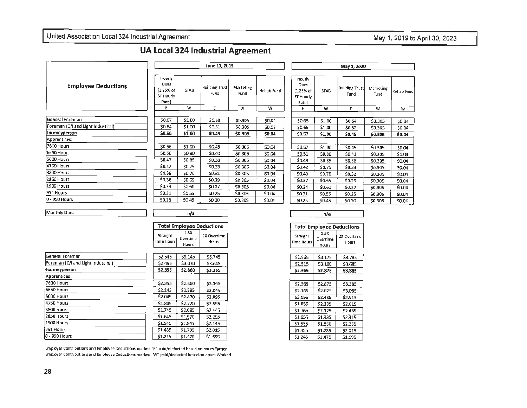# May 1, 2019 to April 30, 2023

# **UA Local 324 Industrial Agreement**

|                                     |                                                            | June 17, 2019 |                               |                   |            |                                                   | May 1, 2020 |                        |                   |            |  |
|-------------------------------------|------------------------------------------------------------|---------------|-------------------------------|-------------------|------------|---------------------------------------------------|-------------|------------------------|-------------------|------------|--|
| <b>Employee Deductions</b>          | Hourly<br><b>Dues</b><br>$(1.25%$ of<br>ST Hourly<br>Rate) | <b>STAB</b>   | <b>Building Trust</b><br>Fund | Marketing<br>Fund | Rehab Fund | Hourly<br>Dues<br>(1.25% of<br>ST Hourly<br>Rate) | <b>STAB</b> | Building Trust<br>Fund | Marketing<br>Fund | Rehab Fund |  |
|                                     | E                                                          | w             | Ε                             | w                 | w          | E                                                 | w           | E                      | w                 | w          |  |
| General Foreman                     | \$0.67                                                     | \$1.00        | \$0.53                        | \$0.305           | \$0.04     | \$0.68                                            | \$1.00      | \$0.54                 | \$0.305           | \$0.04     |  |
| [Foreman (C/I and Light Industiral) | \$0.64                                                     | \$1.00        | \$0.51                        | \$0.305           | \$0.04     | \$0.65                                            | \$1.00      | \$0.52                 | \$0.305           | \$0.04     |  |
| Journeyperson                       | \$0.56                                                     | \$1.00        | \$0.45                        | \$0.305           | \$0.04     | \$0.57                                            | \$1.00      | \$0.45                 | \$0.305           | \$0.04     |  |
| Apprentices:                        |                                                            |               |                               |                   |            |                                                   |             |                        |                   |            |  |
| 7600 Hours                          | \$0.56                                                     | \$1.00        | \$0.45                        | \$0.305           | \$0.04     | \$0.57                                            | \$1.00      | \$0.45                 | \$0.305           | \$0.04     |  |
| 6650 Hours                          | \$0.50                                                     | \$0.90        | \$0.40                        | \$0.305           | \$0.04     | \$0.51                                            | \$0.90      | \$0.41                 | \$0.305           | \$0.04     |  |
| 5000 Hours                          | \$0.47                                                     | \$0.85        | \$0.38                        | \$0.305           | \$0.04     | \$0.48                                            | \$0.85      | 50.38                  | \$0.305           | \$0.04     |  |
| 4750 Hours                          | \$0.42                                                     | \$0.75        | \$0.33                        | \$0.305           | \$0.04     | \$0.42                                            | \$0.75      | \$0.34                 | \$0.305           | \$0.04     |  |
| 3800 Hours                          | \$0.39                                                     | \$0.70        | \$0.31                        | \$0.305           | \$0.04     | \$0.40                                            | \$0.70      | \$0.32                 | \$0.305           | \$0.04     |  |
| 2850 Hours                          | \$0.36                                                     | \$0.65        | \$0.29                        | \$0.305           | \$0.04     | \$0.37                                            | \$0.65      | \$0.29                 | \$0.305           | \$0.04     |  |
| 1900 Hours                          | \$0.33                                                     | \$0.60        | \$0.27                        | \$0.305           | \$0.04     | \$0.34                                            | \$0.60      | \$0.27                 | \$0.305           | \$0.04     |  |
| 951 Hours                           | \$0.31                                                     | \$0.55        | \$0.25                        | \$0.305           | \$0.04     | \$0.31                                            | \$0.55      | \$0.25                 | \$0,305           | \$0.04     |  |
| 0 - 950 Hours                       | \$0.25                                                     | \$0.45        | \$0.20                        | \$0.305           | \$0.04     | \$0.25                                            | \$0.45      | \$0.20                 | \$0.305           | \$0.04     |  |

Monthly Dues

| ш |  |
|---|--|

 $53.745$  $$3.645$ \$3.365 \$3.365 \$3.045 \$2.895 \$2.595 \$2.445 \$2.295  $52.145$  $$2.015$  $51.695$ 

|                        |                           | <b>Total Employee Deductions</b> |
|------------------------|---------------------------|----------------------------------|
| Straight<br>Time Hours | 1.5X<br>Overtime<br>Hours | 2X Overtime<br>Hours             |

| General Foreman                    |         | \$2.545 | \$3.145 |  |
|------------------------------------|---------|---------|---------|--|
| Foreman (C/I and Light Industiral) |         | \$2.495 | \$3,070 |  |
| Journeyperson                      |         | \$2.355 | \$2.860 |  |
| Apprentices:                       |         |         |         |  |
| 7600 Hours                         | \$2.355 |         | \$2,860 |  |
| 6650 Hours                         |         | \$2.145 | \$2,595 |  |
| 5000 Hours                         |         | \$2.045 | \$2,470 |  |
| 4750 Hours                         | \$1.845 |         | \$2.220 |  |
| 3800 Hours                         | \$1,745 |         | \$2.095 |  |
| 2850 Hours                         | \$1.645 |         | \$1,970 |  |
| 1900 Hours                         | \$1.545 |         | \$1.845 |  |
| 951 Hours                          | \$1.455 |         | \$1.735 |  |
| l0 - 950 Hours                     | \$1.245 |         | \$1,470 |  |
|                                    |         |         |         |  |

| <b>Total Employee Deductions</b> |                                  |                      |  |  |  |  |  |  |
|----------------------------------|----------------------------------|----------------------|--|--|--|--|--|--|
| Straight<br>Time Hours           | 1.5X<br>Overtime<br><b>Hours</b> | 2X Overtime<br>Hours |  |  |  |  |  |  |

| \$2.565 | \$3.175 | \$3.785 |
|---------|---------|---------|
| \$2.515 | \$3,100 | \$3.685 |
| \$2.365 | \$2.875 | \$3.385 |
|         |         |         |
| \$2.365 | \$2.875 | \$3.385 |
| \$2.165 | \$2.625 | \$3,085 |
| \$2.055 | \$2.485 | \$2.915 |
| \$1.855 | \$2.235 | \$2.615 |
| \$1.765 | \$2.125 | \$2.485 |
| \$1.655 | \$1.985 | \$2.315 |
| \$1.555 | \$1,860 | \$2.165 |
| \$1.455 | \$1.735 | \$2.015 |
| \$1.245 | \$1.470 | \$1.695 |

Employer Contributions and Employee Deductions marked "E" paid/deducted based on hours Earned Employer Contributions and Employee Deductions marked "W" paid/deducted based on hours Worked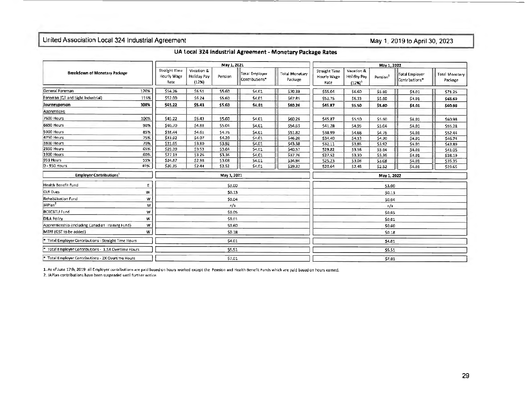May 1, 2019 to April 30, 2023

UA Local 324 industrial Agreement - Monetary Package Rates

| <b>Breakdown of Monetary Package</b>                 |      | May 1, 2021                          |                                    |         |                                              |                                  | May 1, 2022                                 |                                        |                      |                                  |                                  |
|------------------------------------------------------|------|--------------------------------------|------------------------------------|---------|----------------------------------------------|----------------------------------|---------------------------------------------|----------------------------------------|----------------------|----------------------------------|----------------------------------|
|                                                      |      | Straight Time<br>Hourly Wage<br>Rate | Vacation &<br>Holiday Pay<br>(12%) | Pension | Total Employer<br>Contributions <sup>®</sup> | <b>Total Monetary</b><br>Package | <b>Straight Time</b><br>Hourly Wage<br>Rate | Vacation &<br>Holiday Pay<br>$(12%)^1$ | Pension <sup>3</sup> | Total Employer<br>Contributions* | <b>Total Monetary</b><br>Package |
| General Foreman                                      | 120% | \$54.26                              | \$6.51                             | \$5.60  | \$4,01                                       | \$70.38                          | \$55.04                                     | \$6.60                                 | \$5.60               | \$4.01                           | \$71.25                          |
| Foreman (C/I and Light Industrial)                   | 115% | \$52.00                              | \$6.24                             | \$5.60  | \$4.01                                       | \$67.85                          | \$52.75                                     | \$6.33                                 | \$5.60               | \$4.01                           | \$68.69                          |
| Journeyperson                                        | 100% | \$45.22                              | \$5.43                             | \$5.60  | \$4.01                                       | \$60.26                          | \$45.87                                     | \$5.50                                 | \$5.60               | \$4.01                           | \$60.98                          |
| Apprentices:                                         |      |                                      |                                    |         |                                              |                                  |                                             |                                        |                      |                                  |                                  |
| 7600 Hours                                           | 100% | \$45.22                              | \$5.43                             | \$5.60  | \$4.01                                       | \$60.26                          | \$45.87                                     | \$5.50                                 | \$5.60               | \$4.01                           | \$60.98                          |
| <b>6650 Hours</b>                                    | 90%  | \$40.70                              | \$4.88                             | \$5.04  | \$4.01                                       | \$54.63                          | \$41.28                                     | \$4.95                                 | \$5.04               | \$4.01                           | \$55,28                          |
| 5000 Hours                                           | 85%  | \$38.44                              | \$4.61                             | \$4.76  | \$4.01                                       | \$51.82                          | \$38.99                                     | \$4.68                                 | \$4.76               | \$4.01                           | \$52.44                          |
| 4750 Hours                                           | 75%  | \$33.92                              | \$4.07                             | \$4.20  | \$4.01                                       | \$46,20                          | \$34.40                                     | \$4.13                                 | \$4.20               | \$4.01                           | \$46.74                          |
| 3800 Hours                                           | 70%  | \$31.65                              | \$3.80                             | \$3.92  | \$4.01                                       | \$43.38                          | \$32.11                                     | \$3.85                                 | \$3.92               | \$4.01                           | \$43.89                          |
| <b>2850 Hours</b>                                    | 65%  | \$29.39                              | \$3.53                             | \$3.64  | \$4.01                                       | \$40.57                          | \$29.82                                     | 53.58                                  | \$3.64               | \$4.01                           | \$41.05                          |
| <b>1900 Hours</b>                                    | 60%  | \$27.13                              | \$3.26                             | \$3.36  | \$4.01                                       | \$37.76                          | \$27.52                                     | \$3.30                                 | \$3.36               | \$4.01                           | \$38.19                          |
| 951 Hours                                            | 55%  | \$24.87                              | \$2.98                             | 53.08   | \$4.01                                       | \$34.94                          | \$25.23                                     | \$3.03                                 | \$3.08               | \$4.01                           | \$35.35                          |
| $0 - 950$ Hours                                      | 45%  | \$20.35                              | \$2.44                             | \$2.52  | \$4.01                                       | \$29.32                          | \$20.64                                     | \$2.48                                 | \$2.52               | \$4.01                           | \$29.65                          |
| <b>Employer Contributions</b>                        |      |                                      | May 1, 2021                        |         |                                              |                                  |                                             | May 1, 2022                            |                      |                                  |                                  |
| Health Benefit Fund                                  | E    |                                      |                                    | \$3.00  |                                              |                                  |                                             |                                        | \$3.00               |                                  |                                  |
| CLR Dues                                             | W    |                                      |                                    | 50.13   |                                              |                                  |                                             |                                        | \$0.13               |                                  |                                  |
| Rehabilitation Fund                                  | W    |                                      |                                    | \$0.04  |                                              |                                  |                                             |                                        | \$0.04               |                                  |                                  |
| JAPlan <sup>2</sup>                                  | w    |                                      |                                    | n/a     |                                              |                                  |                                             |                                        | n/a                  |                                  |                                  |
| <b>BCBCBTU Fund</b>                                  | w    |                                      |                                    | \$0.05  |                                              |                                  |                                             |                                        | \$0,05               |                                  |                                  |
| D&A Policy                                           | w    |                                      |                                    | \$0.01  |                                              |                                  |                                             |                                        | \$0.01               |                                  |                                  |
| Apprenticeship (Including Canadian Training Fund)    | w    |                                      |                                    | \$0.60  |                                              |                                  |                                             |                                        | \$0.60               |                                  |                                  |
| MTPF (GST to be added)                               | w    |                                      | \$0.18                             |         |                                              | \$0,18                           |                                             |                                        |                      |                                  |                                  |
| * Total Employer Contributions - Straight Time Hours |      |                                      | \$4.01                             |         |                                              |                                  |                                             | \$4.01                                 |                      |                                  |                                  |
| Total Employer Contributions - 1.5X Overtime Hours   |      |                                      |                                    | \$5.51  |                                              |                                  |                                             | \$5.51                                 |                      |                                  |                                  |
| * Total Employer Contributions - 2X Overtime Hours   |      |                                      |                                    | \$7.01  |                                              |                                  |                                             |                                        | \$7.01               |                                  |                                  |

1. As of June 17th, 2019 all Employer contributions are paid based on hours worked except the Pension and Health Benefit Funds which are paid based on hours earned. 2. JAPlan contributions have been suspended until further notice.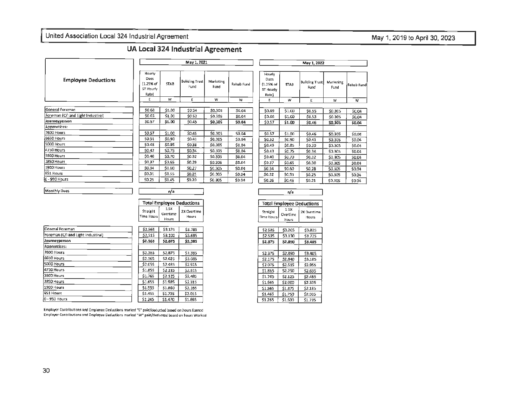# May 1, 2019 to April 30, 2023

# UA Local 324 Industrial Agreement

|                                    |                                                   | May 1, 2021 |                               |                   |            |                                                   | May 1, 2022 |                               |  |  |  |
|------------------------------------|---------------------------------------------------|-------------|-------------------------------|-------------------|------------|---------------------------------------------------|-------------|-------------------------------|--|--|--|
| <b>Employee Deductions</b>         | Hourly<br>Dues<br>11.25% of<br>ST Hourly<br>Rate) | <b>STAB</b> | <b>Building Trust</b><br>Fund | Marketing<br>Fund | Rehab Fund | Hourly<br>Dues<br>(1.25% of<br>ST Hourly<br>Rate) | <b>STAB</b> | <b>Building Trust</b><br>Fund |  |  |  |
|                                    | E                                                 | w           | E                             | w                 | w          | E                                                 | w           | E.                            |  |  |  |
| General Foreman                    | \$0.68                                            | \$1.00      | \$0.54                        | \$0.305           | \$0,04     | \$0.69                                            | \$1.00      | \$0.55                        |  |  |  |
| Foreman (C/I and Light Industiral) | \$0.65                                            | \$1.00      | \$0.52\$                      | \$0.305           | \$0.04     | \$0.66                                            | \$1.00      | \$0.53                        |  |  |  |
| Journeyperson                      | \$0.57                                            | \$1.00      | \$0.45                        | \$0.305           | \$0.04     | \$0.57                                            | \$1.00      | \$0.46                        |  |  |  |
| Apprentices:                       |                                                   |             |                               |                   |            |                                                   |             |                               |  |  |  |
| 7600 Hours                         | \$0.57                                            | \$1.00      | \$0.45                        | \$0,305           | \$0,04     | \$0.57                                            | \$1.00      | \$0.46                        |  |  |  |
| 6650 Hours                         | \$0.51                                            | \$0.90      | \$0.41                        | \$0.305           | \$0.04     | \$0.52                                            | \$0.90      | \$0.41                        |  |  |  |
| 5000 Hours                         | \$0.48                                            | \$0.85      | \$0.38                        | \$0.305           | \$0.04     | \$0.49                                            | \$0.85      | \$0.39                        |  |  |  |
| 4750 Hours                         | \$0.42                                            | \$0.75      | \$0.34                        | \$0.305           | \$0.04     | \$0.43                                            | \$0.75      | \$0.34                        |  |  |  |
| 3800 Hours                         | \$0.40                                            | \$0.70      | \$0.32                        | \$0,305           | \$0.04     | \$0.40                                            | \$0.70      | \$0.32                        |  |  |  |
| 2850 Hours                         | 50,37                                             | \$0.65      | \$0.29                        | \$0.305           | \$0.04     | \$0.37                                            | \$0.65      | \$0.30                        |  |  |  |
| 1900 Hours                         | \$0.34                                            | \$0.60      | \$0.27                        | \$0.305           | \$0.04     | \$0.34                                            | \$0.60      | \$0.28                        |  |  |  |
| 951 Hauts                          | \$0.31                                            | \$0.55      | \$0.25                        | \$0.305           | \$0.04     | \$0.32                                            | \$0,55      | \$0.25                        |  |  |  |
| i0 - 950 Hours                     | \$0.25                                            | \$0.45      | \$0.20                        | \$0.305           | \$0.04     | \$0.26                                            | \$0.45      | \$0.21                        |  |  |  |

| Hourly<br>Dues<br>(1.25% of<br>ST Hourly<br>Rate) | <b>STAB</b> | <b>Building Trust</b><br>Fund | Marketing<br>Fund | Rehab Fund |
|---------------------------------------------------|-------------|-------------------------------|-------------------|------------|
| E                                                 | w           | Ε                             | w                 | ₩          |
|                                                   |             |                               |                   |            |
| \$0.69                                            | \$1.00      | \$0.55                        | \$0.305           | \$0.04     |
| \$0.66                                            | \$1.00      | \$0.53                        | \$0.305           | S0.04      |
| \$0.57                                            | \$1.OD      | \$0.46                        | \$0.305           | \$0.04     |
|                                                   |             |                               |                   |            |
| \$0.57                                            | \$1.00      | \$0.45                        | \$0.305           | \$0.04     |
| \$0.52                                            | \$0.90      | \$0.41                        | \$0.305           | \$0.04     |
| \$0.49                                            | \$0.85      | \$0.39                        | \$0.305           | \$0.04     |
| \$0.43                                            | \$0.75      | \$0.34                        | \$0.305           | \$0.04     |
| \$0.40                                            | \$0.70      | <b>SO.32</b>                  | \$0.305           | \$0.04     |
| \$0.37                                            | \$0.65      | \$0.30                        | \$0.305           | \$0.04     |
| \$0.34                                            | \$0.60      | \$0.28                        | SO.305            | \$0.04     |
| \$0.32                                            | \$0.55      | \$0.25                        | \$0.305           | \$0.04     |
| \$0.26                                            | \$0.45      | 50.21                         | \$0,305           | \$0.04     |

| n/a                              |
|----------------------------------|
|                                  |
| <b>Total Employee Deductions</b> |

Straight

Time Hours

 $1.5X$ 

Overtime

Hours

2X Overtime

Hours

| <b>Total Employee Deductions</b> |                           |                      |  |  |  |  |  |
|----------------------------------|---------------------------|----------------------|--|--|--|--|--|
| Straight<br>Time Hours           | 1.5X<br>Overtime<br>Hours | 2X Overtime<br>Hours |  |  |  |  |  |

| \$2.585 | \$3.205 | \$3.825 |
|---------|---------|---------|
| \$2.535 | \$3,130 | \$3.725 |
| \$2,375 | \$2,890 | \$3.405 |
|         |         |         |
| \$2.375 | \$2,890 | \$3.405 |
| \$2.175 | \$2,640 | \$3,105 |
| \$2.075 | \$2.515 | \$2.955 |
| \$1,865 | \$2.250 | \$2.635 |
| \$1.765 | \$2.125 | \$2.485 |
| \$1.665 | \$2,000 | \$2.335 |
| \$1,565 | \$1,875 | \$2.185 |
| \$1.465 | \$1.750 | \$2,035 |
| \$1.265 | \$1.500 | \$1,735 |
|         |         |         |

| General Foreman                    | \$2.565            | \$3.175 | \$3,785 |
|------------------------------------|--------------------|---------|---------|
| Foreman (C/I and Light Industiral) | \$2.515            | \$3,100 | \$3.685 |
| Journeyperson                      | \$2.365            | \$2,875 | \$3.385 |
| Apprentices:                       |                    |         |         |
| 7600 Hours                         | \$2.365            | \$2.875 | \$3,385 |
| 6650 Hours                         | S <sub>2.165</sub> | \$2.625 | \$3.085 |
| 5000 Hours                         | \$2.055            | \$2.485 | \$2,915 |
| 4750 Hours                         | \$1,855            | \$2.235 | \$2.615 |
| 3800 Hours                         | \$1.765            | \$2.125 | \$2,485 |
| 2850 Hours                         | \$1.655            | \$1,985 | \$2.315 |
| 1900 Hours                         | \$1.555            | \$1,860 | \$2.165 |
| 951 Hours                          | \$1.455            | \$1.735 | \$2.015 |
| 0 - 950 Hours                      | \$1.245            | \$1,470 | \$1,695 |

Employer Contributions and Employee Deductions marked "E" paid/deducted based on hours Earned Employer Contributions and Employee Deductions marked "W" paid/deducted based on hours Worked